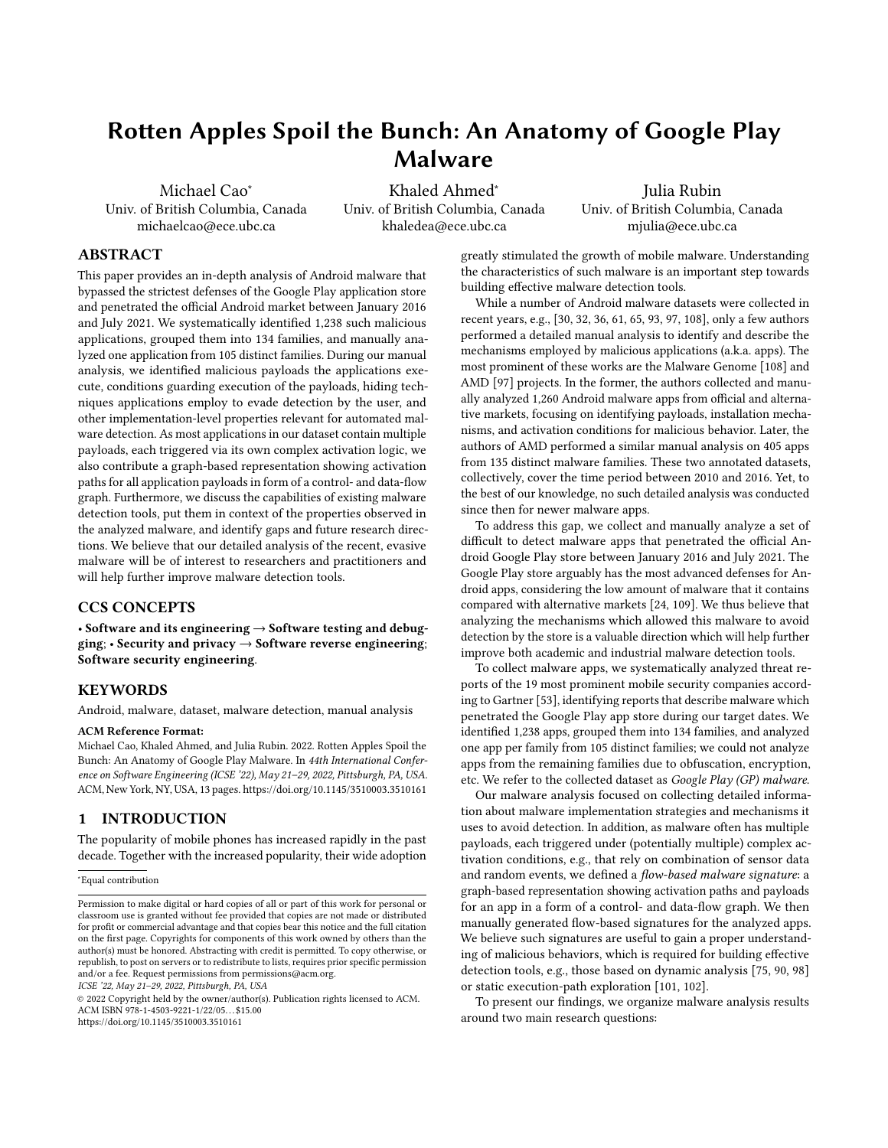# Rotten Apples Spoil the Bunch: An Anatomy of Google Play Malware

Michael Cao<sup>∗</sup> Univ. of British Columbia, Canada michaelcao@ece.ubc.ca

Khaled Ahmed<sup>∗</sup> Univ. of British Columbia, Canada khaledea@ece.ubc.ca

Julia Rubin Univ. of British Columbia, Canada mjulia@ece.ubc.ca

# ABSTRACT

This paper provides an in-depth analysis of Android malware that bypassed the strictest defenses of the Google Play application store and penetrated the official Android market between January 2016 and July 2021. We systematically identified 1,238 such malicious applications, grouped them into 134 families, and manually analyzed one application from 105 distinct families. During our manual analysis, we identified malicious payloads the applications execute, conditions guarding execution of the payloads, hiding techniques applications employ to evade detection by the user, and other implementation-level properties relevant for automated malware detection. As most applications in our dataset contain multiple payloads, each triggered via its own complex activation logic, we also contribute a graph-based representation showing activation paths for all application payloads in form of a control- and data-flow graph. Furthermore, we discuss the capabilities of existing malware detection tools, put them in context of the properties observed in the analyzed malware, and identify gaps and future research directions. We believe that our detailed analysis of the recent, evasive malware will be of interest to researchers and practitioners and will help further improve malware detection tools.

## CCS CONCEPTS

• Software and its engineering → Software testing and debugging;  $\cdot$  Security and privacy  $\rightarrow$  Software reverse engineering; Software security engineering.

#### **KEYWORDS**

Android, malware, dataset, malware detection, manual analysis

#### ACM Reference Format:

Michael Cao, Khaled Ahmed, and Julia Rubin. 2022. Rotten Apples Spoil the Bunch: An Anatomy of Google Play Malware. In 44th International Conference on Software Engineering (ICSE '22), May 21–29, 2022, Pittsburgh, PA, USA. ACM, New York, NY, USA, [13](#page-12-0) pages.<https://doi.org/10.1145/3510003.3510161>

#### 1 INTRODUCTION

The popularity of mobile phones has increased rapidly in the past decade. Together with the increased popularity, their wide adoption

ICSE '22, May 21–29, 2022, Pittsburgh, PA, USA

© 2022 Copyright held by the owner/author(s). Publication rights licensed to ACM. ACM ISBN 978-1-4503-9221-1/22/05. . . \$15.00 <https://doi.org/10.1145/3510003.3510161>

greatly stimulated the growth of mobile malware. Understanding the characteristics of such malware is an important step towards building effective malware detection tools.

While a number of Android malware datasets were collected in recent years, e.g., [\[30,](#page-11-0) [32,](#page-11-1) [36,](#page-11-2) [61,](#page-11-3) [65,](#page-12-1) [93,](#page-12-2) [97,](#page-12-3) [108\]](#page-12-4), only a few authors performed a detailed manual analysis to identify and describe the mechanisms employed by malicious applications (a.k.a. apps). The most prominent of these works are the Malware Genome [\[108\]](#page-12-4) and AMD [\[97\]](#page-12-3) projects. In the former, the authors collected and manually analyzed 1,260 Android malware apps from official and alternative markets, focusing on identifying payloads, installation mechanisms, and activation conditions for malicious behavior. Later, the authors of AMD performed a similar manual analysis on 405 apps from 135 distinct malware families. These two annotated datasets, collectively, cover the time period between 2010 and 2016. Yet, to the best of our knowledge, no such detailed analysis was conducted since then for newer malware apps.

To address this gap, we collect and manually analyze a set of difficult to detect malware apps that penetrated the official Android Google Play store between January 2016 and July 2021. The Google Play store arguably has the most advanced defenses for Android apps, considering the low amount of malware that it contains compared with alternative markets [\[24,](#page-11-4) [109\]](#page-12-5). We thus believe that analyzing the mechanisms which allowed this malware to avoid detection by the store is a valuable direction which will help further improve both academic and industrial malware detection tools.

To collect malware apps, we systematically analyzed threat reports of the 19 most prominent mobile security companies according to Gartner [\[53\]](#page-11-5), identifying reports that describe malware which penetrated the Google Play app store during our target dates. We identified 1,238 apps, grouped them into 134 families, and analyzed one app per family from 105 distinct families; we could not analyze apps from the remaining families due to obfuscation, encryption, etc. We refer to the collected dataset as Google Play (GP) malware.

Our malware analysis focused on collecting detailed information about malware implementation strategies and mechanisms it uses to avoid detection. In addition, as malware often has multiple payloads, each triggered under (potentially multiple) complex activation conditions, e.g., that rely on combination of sensor data and random events, we defined a flow-based malware signature: a graph-based representation showing activation paths and payloads for an app in a form of a control- and data-flow graph. We then manually generated flow-based signatures for the analyzed apps. We believe such signatures are useful to gain a proper understanding of malicious behaviors, which is required for building effective detection tools, e.g., those based on dynamic analysis [\[75,](#page-12-6) [90,](#page-12-7) [98\]](#page-12-8) or static execution-path exploration [\[101,](#page-12-9) [102\]](#page-12-10).

To present our findings, we organize malware analysis results around two main research questions:

<sup>∗</sup>Equal contribution

Permission to make digital or hard copies of all or part of this work for personal or classroom use is granted without fee provided that copies are not made or distributed for profit or commercial advantage and that copies bear this notice and the full citation on the first page. Copyrights for components of this work owned by others than the author(s) must be honored. Abstracting with credit is permitted. To copy otherwise, or republish, to post on servers or to redistribute to lists, requires prior specific permission and/or a fee. Request permissions from permissions@acm.org.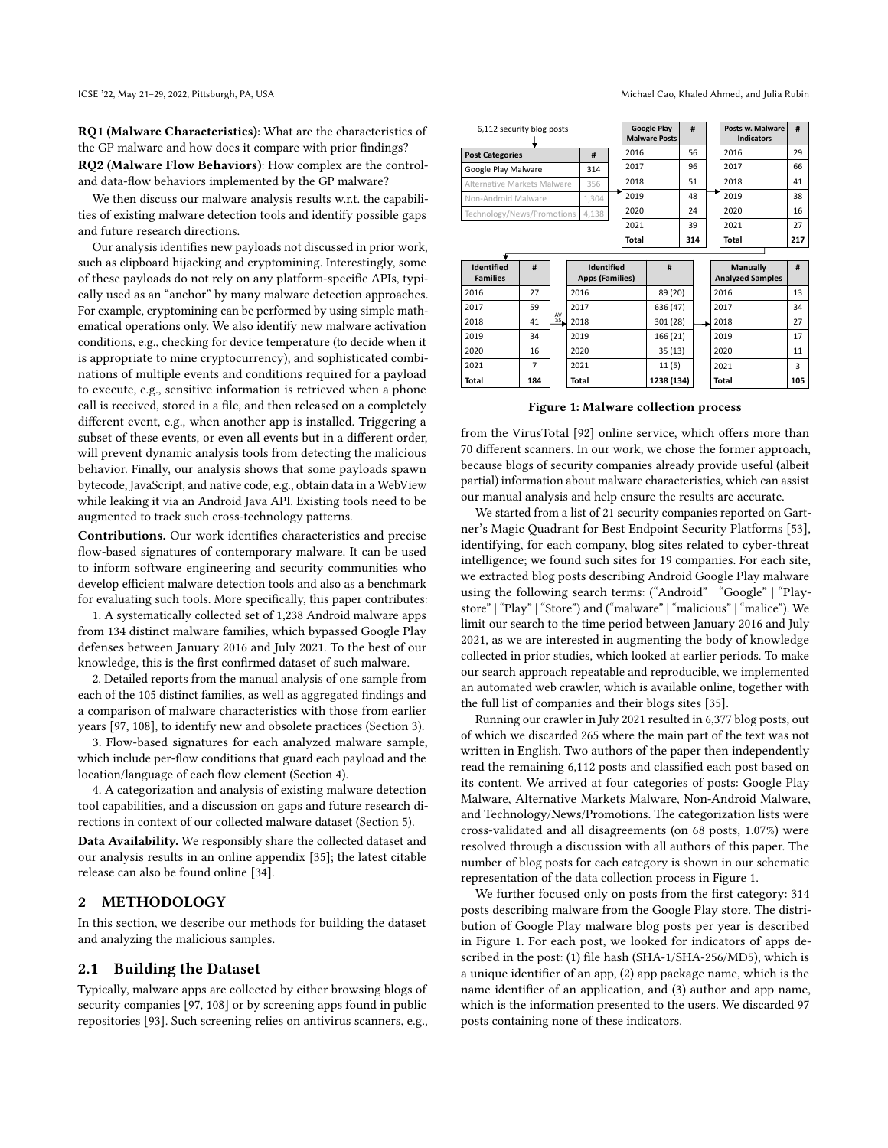RQ1 (Malware Characteristics): What are the characteristics of the GP malware and how does it compare with prior findings?

RQ2 (Malware Flow Behaviors): How complex are the controland data-flow behaviors implemented by the GP malware?

We then discuss our malware analysis results w.r.t. the capabilities of existing malware detection tools and identify possible gaps and future research directions.

Our analysis identifies new payloads not discussed in prior work, such as clipboard hijacking and cryptomining. Interestingly, some of these payloads do not rely on any platform-specific APIs, typically used as an "anchor" by many malware detection approaches. For example, cryptomining can be performed by using simple mathematical operations only. We also identify new malware activation conditions, e.g., checking for device temperature (to decide when it is appropriate to mine cryptocurrency), and sophisticated combinations of multiple events and conditions required for a payload to execute, e.g., sensitive information is retrieved when a phone call is received, stored in a file, and then released on a completely different event, e.g., when another app is installed. Triggering a subset of these events, or even all events but in a different order, will prevent dynamic analysis tools from detecting the malicious behavior. Finally, our analysis shows that some payloads spawn bytecode, JavaScript, and native code, e.g., obtain data in a WebView while leaking it via an Android Java API. Existing tools need to be augmented to track such cross-technology patterns.

Contributions. Our work identifies characteristics and precise flow-based signatures of contemporary malware. It can be used to inform software engineering and security communities who develop efficient malware detection tools and also as a benchmark for evaluating such tools. More specifically, this paper contributes:

1. A systematically collected set of 1,238 Android malware apps from 134 distinct malware families, which bypassed Google Play defenses between January 2016 and July 2021. To the best of our knowledge, this is the first confirmed dataset of such malware.

2. Detailed reports from the manual analysis of one sample from each of the 105 distinct families, as well as aggregated findings and a comparison of malware characteristics with those from earlier years [\[97,](#page-12-3) [108\]](#page-12-4), to identify new and obsolete practices (Section [3\)](#page-3-0).

3. Flow-based signatures for each analyzed malware sample, which include per-flow conditions that guard each payload and the location/language of each flow element (Section [4\)](#page-6-0).

4. A categorization and analysis of existing malware detection tool capabilities, and a discussion on gaps and future research directions in context of our collected malware dataset (Section [5\)](#page-8-0). Data Availability. We responsibly share the collected dataset and our analysis results in an online appendix [\[35\]](#page-11-6); the latest citable

release can also be found online [\[34\]](#page-11-7).

### **METHODOLOGY**

In this section, we describe our methods for building the dataset and analyzing the malicious samples.

#### 2.1 Building the Dataset

Typically, malware apps are collected by either browsing blogs of security companies [\[97,](#page-12-3) [108\]](#page-12-4) or by screening apps found in public repositories [\[93\]](#page-12-2). Such screening relies on antivirus scanners, e.g.,

#### ICSE '22, May 21-29, 2022, Pittsburgh, PA, USA Michael Cao, Khaled Ahmed, and Julia Rubin

<span id="page-1-0"></span>

| 6,112 security blog posts            |   |  |                                             |       | <b>Google Play</b><br><b>Malware Posts</b> | #   | Posts w. Malware<br><b>Indicators</b> |     |
|--------------------------------------|---|--|---------------------------------------------|-------|--------------------------------------------|-----|---------------------------------------|-----|
| <b>Post Categories</b>               |   |  | #                                           | 2016  |                                            | 56  | 2016                                  |     |
| Google Play Malware                  |   |  | 314                                         | 2017  |                                            | 96  | 2017                                  | 66  |
| Alternative Markets Malware          |   |  | 356                                         | 2018  |                                            | 51  | 2018                                  | 41  |
| Non-Android Malware                  |   |  | 1.304                                       | 2019  |                                            | 48  | 2019                                  | 38  |
| Technology/News/Promotions           |   |  | 4.138                                       | 2020  |                                            | 24  | 2020                                  | 16  |
|                                      |   |  |                                             | 2021  |                                            | 39  | 2021                                  | 27  |
|                                      |   |  |                                             | Total |                                            | 314 | Total                                 | 217 |
|                                      |   |  |                                             |       |                                            |     |                                       |     |
| <b>Identified</b><br><b>Families</b> | # |  | <b>Identified</b><br><b>Apps (Families)</b> |       | #                                          |     | Manually<br><b>Analyzed Samples</b>   | #   |

| <b>Families</b> |     |     | <b>Apps (Families)</b> |            | <b>Analyzed Samples</b> |     |  |
|-----------------|-----|-----|------------------------|------------|-------------------------|-----|--|
| 2016            | 27  |     | 2016                   | 89 (20)    | 2016                    | 13  |  |
| 2017            | 59  | AV  | 2017                   | 636 (47)   | 2017                    | 34  |  |
| 2018            | 41  | ≥5⊾ | 2018                   | 301 (28)   | 2018                    | 27  |  |
| 2019            | 34  |     | 2019                   | 166 (21)   | 2019                    | 17  |  |
| 2020            | 16  |     | 2020                   | 35(13)     | 2020                    | 11  |  |
| 2021            |     |     | 2021                   | 11(5)      | 2021                    | 3   |  |
| <b>Total</b>    | 184 |     | <b>Total</b>           | 1238 (134) | <b>Total</b>            | 105 |  |

#### Figure 1: Malware collection process

from the VirusTotal [\[92\]](#page-12-11) online service, which offers more than 70 different scanners. In our work, we chose the former approach, because blogs of security companies already provide useful (albeit partial) information about malware characteristics, which can assist our manual analysis and help ensure the results are accurate.

We started from a list of 21 security companies reported on Gartner's Magic Quadrant for Best Endpoint Security Platforms [\[53\]](#page-11-5), identifying, for each company, blog sites related to cyber-threat intelligence; we found such sites for 19 companies. For each site, we extracted blog posts describing Android Google Play malware using the following search terms: ("Android" | "Google" | "Playstore" | "Play" | "Store") and ("malware" | "malicious" | "malice"). We limit our search to the time period between January 2016 and July 2021, as we are interested in augmenting the body of knowledge collected in prior studies, which looked at earlier periods. To make our search approach repeatable and reproducible, we implemented an automated web crawler, which is available online, together with the full list of companies and their blogs sites [\[35\]](#page-11-6).

Running our crawler in July 2021 resulted in 6,377 blog posts, out of which we discarded 265 where the main part of the text was not written in English. Two authors of the paper then independently read the remaining 6,112 posts and classified each post based on its content. We arrived at four categories of posts: Google Play Malware, Alternative Markets Malware, Non-Android Malware, and Technology/News/Promotions. The categorization lists were cross-validated and all disagreements (on 68 posts, 1.07%) were resolved through a discussion with all authors of this paper. The number of blog posts for each category is shown in our schematic representation of the data collection process in Figure [1.](#page-1-0)

We further focused only on posts from the first category: 314 posts describing malware from the Google Play store. The distribution of Google Play malware blog posts per year is described in Figure [1.](#page-1-0) For each post, we looked for indicators of apps described in the post: (1) file hash (SHA-1/SHA-256/MD5), which is a unique identifier of an app, (2) app package name, which is the name identifier of an application, and (3) author and app name, which is the information presented to the users. We discarded 97 posts containing none of these indicators.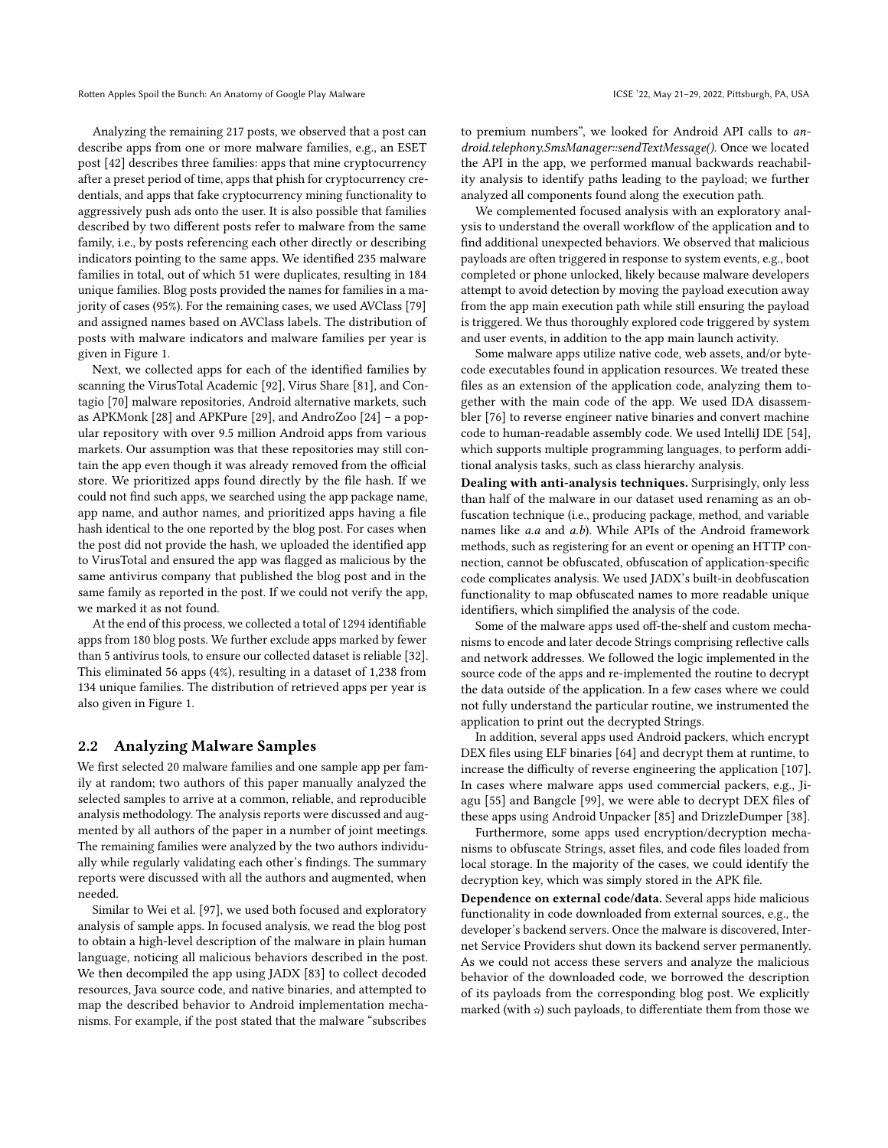Analyzing the remaining 217 posts, we observed that a post can describe apps from one or more malware families, e.g., an ESET post [\[42\]](#page-11-8) describes three families: apps that mine cryptocurrency after a preset period of time, apps that phish for cryptocurrency credentials, and apps that fake cryptocurrency mining functionality to aggressively push ads onto the user. It is also possible that families described by two different posts refer to malware from the same family, i.e., by posts referencing each other directly or describing indicators pointing to the same apps. We identified 235 malware families in total, out of which 51 were duplicates, resulting in 184 unique families. Blog posts provided the names for families in a majority of cases (95%). For the remaining cases, we used AVClass [\[79\]](#page-12-12) and assigned names based on AVClass labels. The distribution of posts with malware indicators and malware families per year is given in Figure [1.](#page-1-0)

Next, we collected apps for each of the identified families by scanning the VirusTotal Academic [\[92\]](#page-12-11), Virus Share [\[81\]](#page-12-13), and Contagio [\[70\]](#page-12-14) malware repositories, Android alternative markets, such as APKMonk [\[28\]](#page-11-9) and APKPure [\[29\]](#page-11-10), and AndroZoo [\[24\]](#page-11-4) – a popular repository with over 9.5 million Android apps from various markets. Our assumption was that these repositories may still contain the app even though it was already removed from the official store. We prioritized apps found directly by the file hash. If we could not find such apps, we searched using the app package name, app name, and author names, and prioritized apps having a file hash identical to the one reported by the blog post. For cases when the post did not provide the hash, we uploaded the identified app to VirusTotal and ensured the app was flagged as malicious by the same antivirus company that published the blog post and in the same family as reported in the post. If we could not verify the app, we marked it as not found.

At the end of this process, we collected a total of 1294 identifiable apps from 180 blog posts. We further exclude apps marked by fewer than 5 antivirus tools, to ensure our collected dataset is reliable [\[32\]](#page-11-1). This eliminated 56 apps (4%), resulting in a dataset of 1,238 from 134 unique families. The distribution of retrieved apps per year is also given in Figure [1.](#page-1-0)

#### <span id="page-2-0"></span>2.2 Analyzing Malware Samples

We first selected 20 malware families and one sample app per family at random; two authors of this paper manually analyzed the selected samples to arrive at a common, reliable, and reproducible analysis methodology. The analysis reports were discussed and augmented by all authors of the paper in a number of joint meetings. The remaining families were analyzed by the two authors individually while regularly validating each other's findings. The summary reports were discussed with all the authors and augmented, when needed.

Similar to Wei et al. [\[97\]](#page-12-3), we used both focused and exploratory analysis of sample apps. In focused analysis, we read the blog post to obtain a high-level description of the malware in plain human language, noticing all malicious behaviors described in the post. We then decompiled the app using JADX [\[83\]](#page-12-15) to collect decoded resources, Java source code, and native binaries, and attempted to map the described behavior to Android implementation mechanisms. For example, if the post stated that the malware "subscribes

to premium numbers", we looked for Android API calls to android.telephony.SmsManager::sendTextMessage(). Once we located the API in the app, we performed manual backwards reachability analysis to identify paths leading to the payload; we further analyzed all components found along the execution path.

We complemented focused analysis with an exploratory analysis to understand the overall workflow of the application and to find additional unexpected behaviors. We observed that malicious payloads are often triggered in response to system events, e.g., boot completed or phone unlocked, likely because malware developers attempt to avoid detection by moving the payload execution away from the app main execution path while still ensuring the payload is triggered. We thus thoroughly explored code triggered by system and user events, in addition to the app main launch activity.

Some malware apps utilize native code, web assets, and/or bytecode executables found in application resources. We treated these files as an extension of the application code, analyzing them together with the main code of the app. We used IDA disassembler [\[76\]](#page-12-16) to reverse engineer native binaries and convert machine code to human-readable assembly code. We used IntelliJ IDE [\[54\]](#page-11-11), which supports multiple programming languages, to perform additional analysis tasks, such as class hierarchy analysis.

Dealing with anti-analysis techniques. Surprisingly, only less than half of the malware in our dataset used renaming as an obfuscation technique (i.e., producing package, method, and variable names like a.a and a.b). While APIs of the Android framework methods, such as registering for an event or opening an HTTP connection, cannot be obfuscated, obfuscation of application-specific code complicates analysis. We used JADX's built-in deobfuscation functionality to map obfuscated names to more readable unique identifiers, which simplified the analysis of the code.

Some of the malware apps used off-the-shelf and custom mechanisms to encode and later decode Strings comprising reflective calls and network addresses. We followed the logic implemented in the source code of the apps and re-implemented the routine to decrypt the data outside of the application. In a few cases where we could not fully understand the particular routine, we instrumented the application to print out the decrypted Strings.

In addition, several apps used Android packers, which encrypt DEX files using ELF binaries [\[64\]](#page-12-17) and decrypt them at runtime, to increase the difficulty of reverse engineering the application [\[107\]](#page-12-18). In cases where malware apps used commercial packers, e.g., Jiagu [\[55\]](#page-11-12) and Bangcle [\[99\]](#page-12-19), we were able to decrypt DEX files of these apps using Android Unpacker [\[85\]](#page-12-20) and DrizzleDumper [\[38\]](#page-11-13).

Furthermore, some apps used encryption/decryption mechanisms to obfuscate Strings, asset files, and code files loaded from local storage. In the majority of the cases, we could identify the decryption key, which was simply stored in the APK file.

Dependence on external code/data. Several apps hide malicious functionality in code downloaded from external sources, e.g., the developer's backend servers. Once the malware is discovered, Internet Service Providers shut down its backend server permanently. As we could not access these servers and analyze the malicious behavior of the downloaded code, we borrowed the description of its payloads from the corresponding blog post. We explicitly marked (with  $\alpha$ ) such payloads, to differentiate them from those we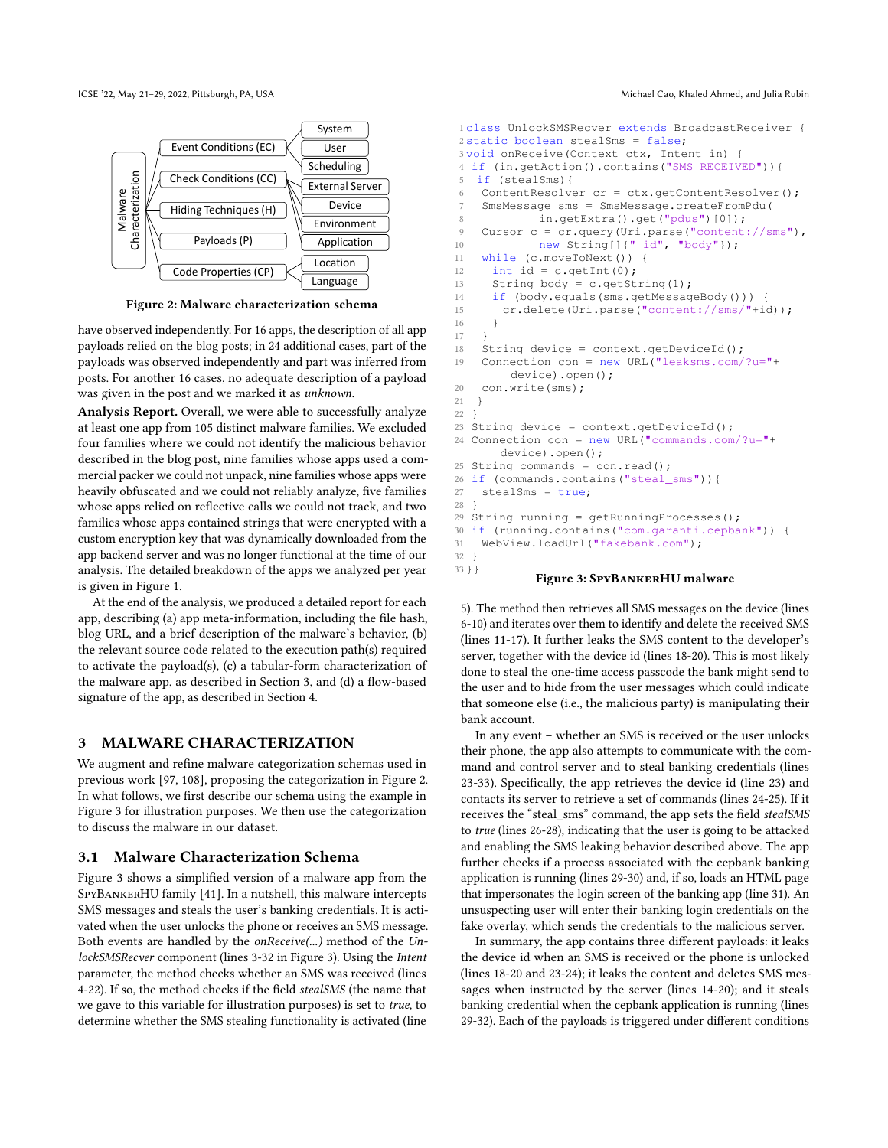<span id="page-3-1"></span>

Figure 2: Malware characterization schema

have observed independently. For 16 apps, the description of all app payloads relied on the blog posts; in 24 additional cases, part of the payloads was observed independently and part was inferred from posts. For another 16 cases, no adequate description of a payload was given in the post and we marked it as unknown.

Analysis Report. Overall, we were able to successfully analyze at least one app from 105 distinct malware families. We excluded four families where we could not identify the malicious behavior described in the blog post, nine families whose apps used a commercial packer we could not unpack, nine families whose apps were heavily obfuscated and we could not reliably analyze, five families whose apps relied on reflective calls we could not track, and two families whose apps contained strings that were encrypted with a custom encryption key that was dynamically downloaded from the app backend server and was no longer functional at the time of our analysis. The detailed breakdown of the apps we analyzed per year is given in Figure [1.](#page-1-0)

At the end of the analysis, we produced a detailed report for each app, describing (a) app meta-information, including the file hash, blog URL, and a brief description of the malware's behavior, (b) the relevant source code related to the execution path(s) required to activate the payload(s), (c) a tabular-form characterization of the malware app, as described in Section [3,](#page-3-0) and (d) a flow-based signature of the app, as described in Section [4.](#page-6-0)

### <span id="page-3-23"></span><span id="page-3-22"></span><span id="page-3-21"></span><span id="page-3-20"></span><span id="page-3-17"></span><span id="page-3-15"></span><span id="page-3-12"></span><span id="page-3-11"></span><span id="page-3-10"></span><span id="page-3-6"></span><span id="page-3-0"></span>3 MALWARE CHARACTERIZATION

We augment and refine malware categorization schemas used in previous work [\[97,](#page-12-3) [108\]](#page-12-4), proposing the categorization in Figure [2.](#page-3-1) In what follows, we first describe our schema using the example in Figure [3](#page-3-2) for illustration purposes. We then use the categorization to discuss the malware in our dataset.

#### 3.1 Malware Characterization Schema

Figure [3](#page-3-2) shows a simplified version of a malware app from the SpyBankerHU family [\[41\]](#page-11-14). In a nutshell, this malware intercepts SMS messages and steals the user's banking credentials. It is activated when the user unlocks the phone or receives an SMS message. Both events are handled by the onReceive(...) method of the UnlockSMSRecver component (lines 3-32 in Figure [3\)](#page-3-2). Using the Intent parameter, the method checks whether an SMS was received (lines 4-22). If so, the method checks if the field stealSMS (the name that we gave to this variable for illustration purposes) is set to true, to determine whether the SMS stealing functionality is activated (line

```
1 class UnlockSMSRecver extends BroadcastReceiver {
2 static boolean stealSms = false;
3 void onReceive(Context ctx, Intent in) {
4 if (in.getAction().contains("SMS_RECEIVED")){
5 if (stealSms){
6 ContentResolver cr = ctx.getContentResolver();
    SmsMessage sms = SmsMessage.createFromPdu(
8 in.getExtra().get("pdus")[0]);
9 Cursor c = cr.query(Uri.parse("content://sms"),
10 new String[] {"_id", "body"});
11 while (c.moveToNext()) {
12 int id = c.getInt(0);13 String body = c.getString(1);
14 if (body.equals(sms.getMessageBody())) {
15 cr.delete(Uri.parse("content://sms/"+id));
16 }
17 }
18 String device = context.getDeviceId();
19 Connection con = new URL("leaksms.com/?u="+
        device).open();
20 con.write(sms);
21 }
22 }
23 String device = context.getDeviceId();
24 Connection con = new URL("commands.com/?u="+
      device).open();
25 String commands = con.read();
26 if (commands.contains("steal_sms")){
27 stealSms = true;
28\,29 String running = getRunningProcess();
30 if (running.contains("com.garanti.cepbank")) {
31 WebView.loadUrl("fakebank.com");
32 }
33 }}
```
#### Figure 3: SpyBankerHU malware

5). The method then retrieves all SMS messages on the device (lines 6-10) and iterates over them to identify and delete the received SMS (lines 11-17). It further leaks the SMS content to the developer's server, together with the device id (lines 18-20). This is most likely done to steal the one-time access passcode the bank might send to the user and to hide from the user messages which could indicate that someone else (i.e., the malicious party) is manipulating their bank account.

<span id="page-3-26"></span><span id="page-3-25"></span><span id="page-3-24"></span><span id="page-3-19"></span><span id="page-3-18"></span><span id="page-3-16"></span><span id="page-3-14"></span><span id="page-3-13"></span><span id="page-3-9"></span><span id="page-3-8"></span><span id="page-3-7"></span><span id="page-3-5"></span><span id="page-3-4"></span><span id="page-3-3"></span>In any event – whether an SMS is received or the user unlocks their phone, the app also attempts to communicate with the command and control server and to steal banking credentials (lines 23-33). Specifically, the app retrieves the device id (line 23) and contacts its server to retrieve a set of commands (lines 24-25). If it receives the "steal\_sms" command, the app sets the field stealSMS to true (lines 26-28), indicating that the user is going to be attacked and enabling the SMS leaking behavior described above. The app further checks if a process associated with the cepbank banking application is running (lines 29-30) and, if so, loads an HTML page that impersonates the login screen of the banking app (line 31). An unsuspecting user will enter their banking login credentials on the fake overlay, which sends the credentials to the malicious server.

In summary, the app contains three different payloads: it leaks the device id when an SMS is received or the phone is unlocked (lines 18-20 and 23-24); it leaks the content and deletes SMS messages when instructed by the server (lines 14-20); and it steals banking credential when the cepbank application is running (lines 29-32). Each of the payloads is triggered under different conditions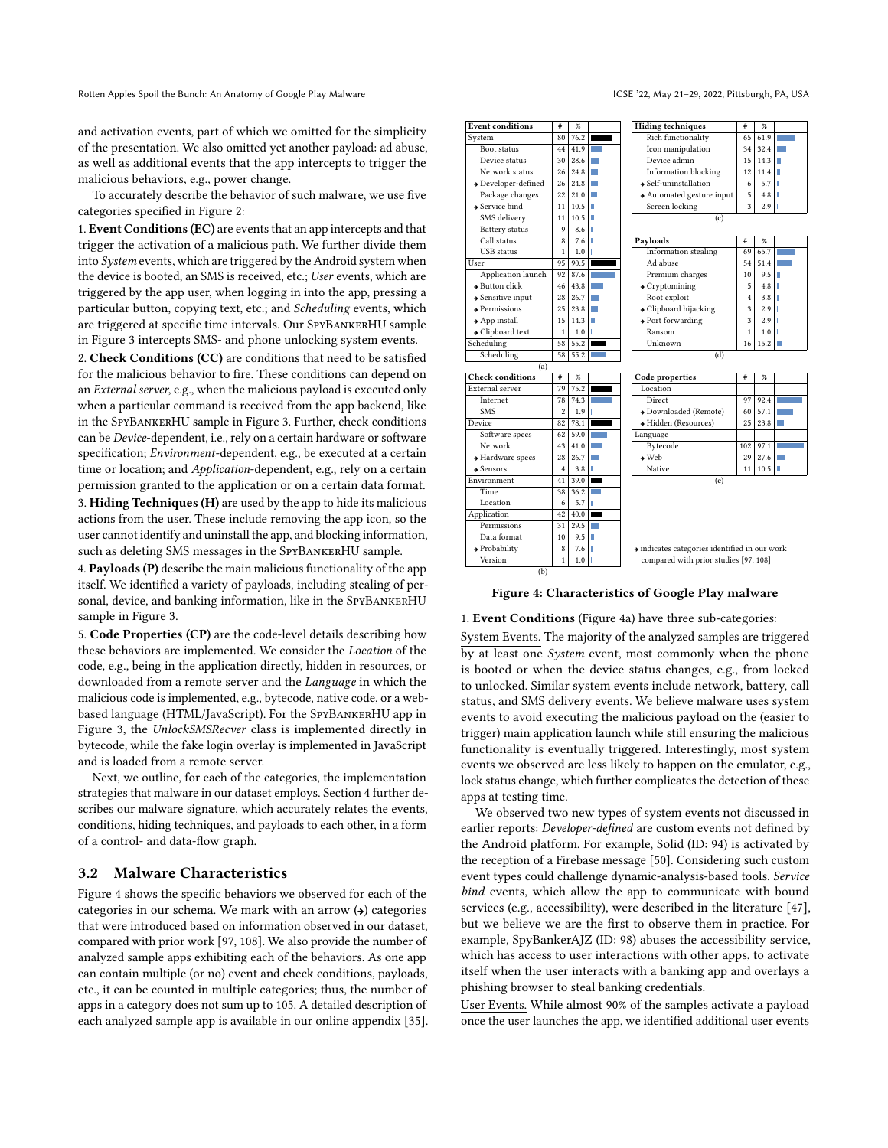and activation events, part of which we omitted for the simplicity of the presentation. We also omitted yet another payload: ad abuse, as well as additional events that the app intercepts to trigger the malicious behaviors, e.g., power change.

To accurately describe the behavior of such malware, we use five categories specified in Figure [2:](#page-3-1)

1. Event Conditions (EC) are events that an app intercepts and that trigger the activation of a malicious path. We further divide them into System events, which are triggered by the Android system when the device is booted, an SMS is received, etc.; User events, which are triggered by the app user, when logging in into the app, pressing a particular button, copying text, etc.; and Scheduling events, which are triggered at specific time intervals. Our SpyBankerHU sample in Figure [3](#page-3-2) intercepts SMS- and phone unlocking system events.

2. Check Conditions (CC) are conditions that need to be satisfied for the malicious behavior to fire. These conditions can depend on an External server, e.g., when the malicious payload is executed only when a particular command is received from the app backend, like in the SpyBankerHU sample in Figure [3.](#page-3-2) Further, check conditions can be Device-dependent, i.e., rely on a certain hardware or software specification; Environment-dependent, e.g., be executed at a certain time or location; and *Application*-dependent, e.g., rely on a certain permission granted to the application or on a certain data format.

3. Hiding Techniques (H) are used by the app to hide its malicious actions from the user. These include removing the app icon, so the user cannot identify and uninstall the app, and blocking information, such as deleting SMS messages in the SpyBankerHU sample.

4. Payloads (P) describe the main malicious functionality of the app itself. We identified a variety of payloads, including stealing of personal, device, and banking information, like in the SpyBankerHU sample in Figure [3.](#page-3-2)

5. Code Properties (CP) are the code-level details describing how these behaviors are implemented. We consider the Location of the code, e.g., being in the application directly, hidden in resources, or downloaded from a remote server and the Language in which the malicious code is implemented, e.g., bytecode, native code, or a webbased language (HTML/JavaScript). For the SpyBankerHU app in Figure [3,](#page-3-2) the UnlockSMSRecver class is implemented directly in bytecode, while the fake login overlay is implemented in JavaScript and is loaded from a remote server.

Next, we outline, for each of the categories, the implementation strategies that malware in our dataset employs. Section [4](#page-6-0) further describes our malware signature, which accurately relates the events, conditions, hiding techniques, and payloads to each other, in a form of a control- and data-flow graph.

## 3.2 Malware Characteristics

Figure [4](#page-4-0) shows the specific behaviors we observed for each of the categories in our schema. We mark with an arrow  $\left(\rightarrow\right)$  categories that were introduced based on information observed in our dataset, compared with prior work [\[97,](#page-12-3) [108\]](#page-12-4). We also provide the number of analyzed sample apps exhibiting each of the behaviors. As one app can contain multiple (or no) event and check conditions, payloads, etc., it can be counted in multiple categories; thus, the number of apps in a category does not sum up to 105. A detailed description of each analyzed sample app is available in our online appendix [\[35\]](#page-11-6).

<span id="page-4-0"></span>

Figure 4: Characteristics of Google Play malware

1. Event Conditions (Figure [4a](#page-4-0)) have three sub-categories: System Events. The majority of the analyzed samples are triggered by at least one System event, most commonly when the phone is booted or when the device status changes, e.g., from locked to unlocked. Similar system events include network, battery, call status, and SMS delivery events. We believe malware uses system events to avoid executing the malicious payload on the (easier to trigger) main application launch while still ensuring the malicious functionality is eventually triggered. Interestingly, most system events we observed are less likely to happen on the emulator, e.g., lock status change, which further complicates the detection of these apps at testing time.

We observed two new types of system events not discussed in earlier reports: Developer-defined are custom events not defined by the Android platform. For example, Solid (ID: [94\)](#page-3-3) is activated by the reception of a Firebase message [\[50\]](#page-11-15). Considering such custom event types could challenge dynamic-analysis-based tools. Service bind events, which allow the app to communicate with bound services (e.g., accessibility), were described in the literature [\[47\]](#page-11-16), but we believe we are the first to observe them in practice. For example, SpyBankerAJZ (ID: [98\)](#page-3-4) abuses the accessibility service, which has access to user interactions with other apps, to activate itself when the user interacts with a banking app and overlays a phishing browser to steal banking credentials.

User Events. While almost 90% of the samples activate a payload once the user launches the app, we identified additional user events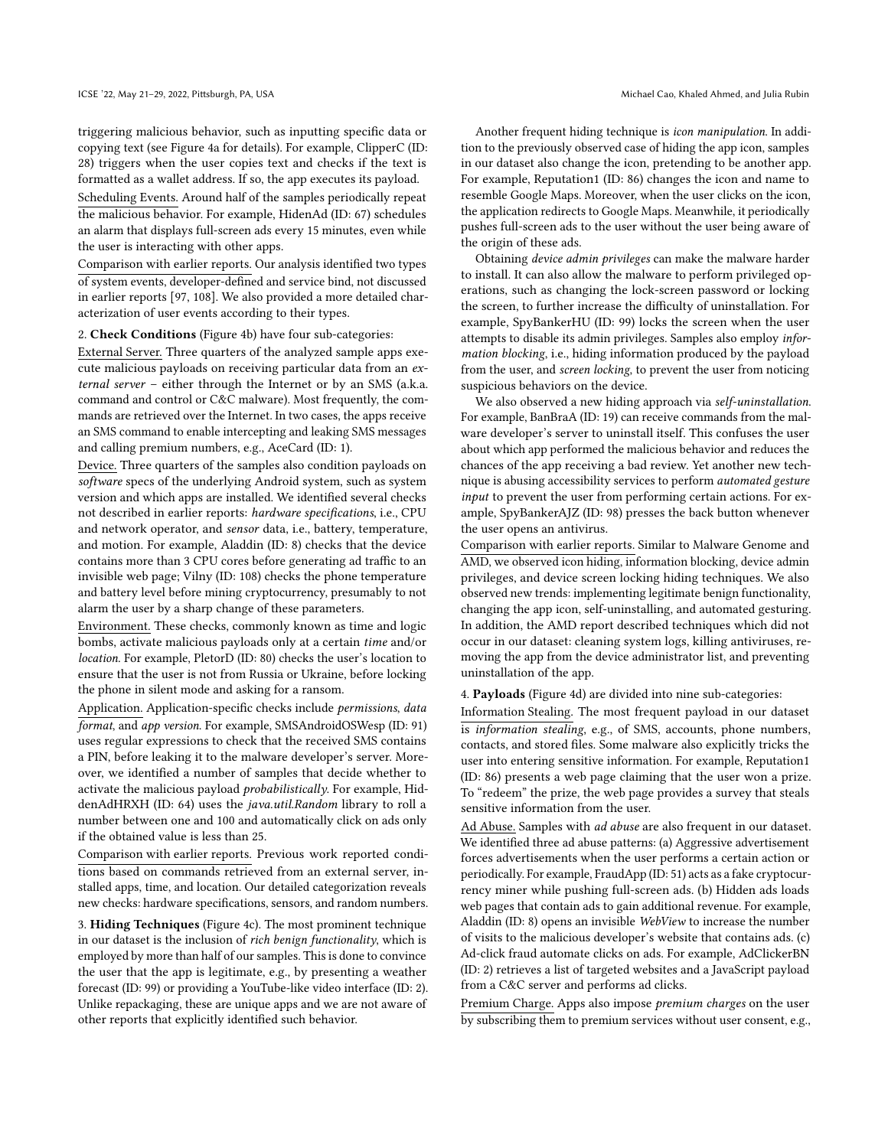triggering malicious behavior, such as inputting specific data or copying text (see Figure [4a](#page-4-0) for details). For example, ClipperC (ID: [28\)](#page-3-5) triggers when the user copies text and checks if the text is formatted as a wallet address. If so, the app executes its payload.

Scheduling Events. Around half of the samples periodically repeat the malicious behavior. For example, HidenAd (ID: [67\)](#page-3-6) schedules an alarm that displays full-screen ads every 15 minutes, even while the user is interacting with other apps.

Comparison with earlier reports. Our analysis identified two types of system events, developer-defined and service bind, not discussed in earlier reports [\[97,](#page-12-3) [108\]](#page-12-4). We also provided a more detailed characterization of user events according to their types.

2. Check Conditions (Figure [4b](#page-4-0)) have four sub-categories:

External Server. Three quarters of the analyzed sample apps execute malicious payloads on receiving particular data from an external server – either through the Internet or by an SMS (a.k.a. command and control or C&C malware). Most frequently, the commands are retrieved over the Internet. In two cases, the apps receive an SMS command to enable intercepting and leaking SMS messages and calling premium numbers, e.g., AceCard (ID: [1\)](#page-3-7).

Device. Three quarters of the samples also condition payloads on software specs of the underlying Android system, such as system version and which apps are installed. We identified several checks not described in earlier reports: hardware specifications, i.e., CPU and network operator, and sensor data, i.e., battery, temperature, and motion. For example, Aladdin (ID: [8\)](#page-3-8) checks that the device contains more than 3 CPU cores before generating ad traffic to an invisible web page; Vilny (ID: [108\)](#page-3-9) checks the phone temperature and battery level before mining cryptocurrency, presumably to not alarm the user by a sharp change of these parameters.

Environment. These checks, commonly known as time and logic bombs, activate malicious payloads only at a certain time and/or location. For example, PletorD (ID: [80\)](#page-3-10) checks the user's location to ensure that the user is not from Russia or Ukraine, before locking the phone in silent mode and asking for a ransom.

Application. Application-specific checks include permissions, data format, and app version. For example, SMSAndroidOSWesp (ID: [91\)](#page-3-11) uses regular expressions to check that the received SMS contains a PIN, before leaking it to the malware developer's server. Moreover, we identified a number of samples that decide whether to activate the malicious payload probabilistically. For example, Hid-denAdHRXH (ID: [64\)](#page-3-12) uses the java.util.Random library to roll a number between one and 100 and automatically click on ads only if the obtained value is less than 25.

Comparison with earlier reports. Previous work reported conditions based on commands retrieved from an external server, installed apps, time, and location. Our detailed categorization reveals new checks: hardware specifications, sensors, and random numbers.

3. Hiding Techniques (Figure [4c](#page-4-0)). The most prominent technique in our dataset is the inclusion of rich benign functionality, which is employed by more than half of our samples. This is done to convince the user that the app is legitimate, e.g., by presenting a weather forecast (ID: [99\)](#page-3-13) or providing a YouTube-like video interface (ID: [2\)](#page-3-14). Unlike repackaging, these are unique apps and we are not aware of other reports that explicitly identified such behavior.

Another frequent hiding technique is icon manipulation. In addition to the previously observed case of hiding the app icon, samples in our dataset also change the icon, pretending to be another app. For example, Reputation1 (ID: [86\)](#page-3-15) changes the icon and name to resemble Google Maps. Moreover, when the user clicks on the icon, the application redirects to Google Maps. Meanwhile, it periodically pushes full-screen ads to the user without the user being aware of the origin of these ads.

Obtaining device admin privileges can make the malware harder to install. It can also allow the malware to perform privileged operations, such as changing the lock-screen password or locking the screen, to further increase the difficulty of uninstallation. For example, SpyBankerHU (ID: [99\)](#page-3-13) locks the screen when the user attempts to disable its admin privileges. Samples also employ information blocking, i.e., hiding information produced by the payload from the user, and screen locking, to prevent the user from noticing suspicious behaviors on the device.

We also observed a new hiding approach via self-uninstallation. For example, BanBraA (ID: [19\)](#page-3-16) can receive commands from the malware developer's server to uninstall itself. This confuses the user about which app performed the malicious behavior and reduces the chances of the app receiving a bad review. Yet another new technique is abusing accessibility services to perform automated gesture input to prevent the user from performing certain actions. For example, SpyBankerAJZ (ID: [98\)](#page-3-4) presses the back button whenever the user opens an antivirus.

Comparison with earlier reports. Similar to Malware Genome and AMD, we observed icon hiding, information blocking, device admin privileges, and device screen locking hiding techniques. We also observed new trends: implementing legitimate benign functionality, changing the app icon, self-uninstalling, and automated gesturing. In addition, the AMD report described techniques which did not occur in our dataset: cleaning system logs, killing antiviruses, removing the app from the device administrator list, and preventing uninstallation of the app.

4. Payloads (Figure [4d](#page-4-0)) are divided into nine sub-categories:

Information Stealing. The most frequent payload in our dataset is information stealing, e.g., of SMS, accounts, phone numbers, contacts, and stored files. Some malware also explicitly tricks the user into entering sensitive information. For example, Reputation1 (ID: [86\)](#page-3-15) presents a web page claiming that the user won a prize. To "redeem" the prize, the web page provides a survey that steals sensitive information from the user.

Ad Abuse. Samples with ad abuse are also frequent in our dataset. We identified three ad abuse patterns: (a) Aggressive advertisement forces advertisements when the user performs a certain action or periodically. For example, FraudApp (ID: [51\)](#page-3-17) acts as a fake cryptocurrency miner while pushing full-screen ads. (b) Hidden ads loads web pages that contain ads to gain additional revenue. For example, Aladdin (ID: [8\)](#page-3-8) opens an invisible WebView to increase the number of visits to the malicious developer's website that contains ads. (c) Ad-click fraud automate clicks on ads. For example, AdClickerBN (ID: [2\)](#page-3-14) retrieves a list of targeted websites and a JavaScript payload from a C&C server and performs ad clicks.

Premium Charge. Apps also impose premium charges on the user by subscribing them to premium services without user consent, e.g.,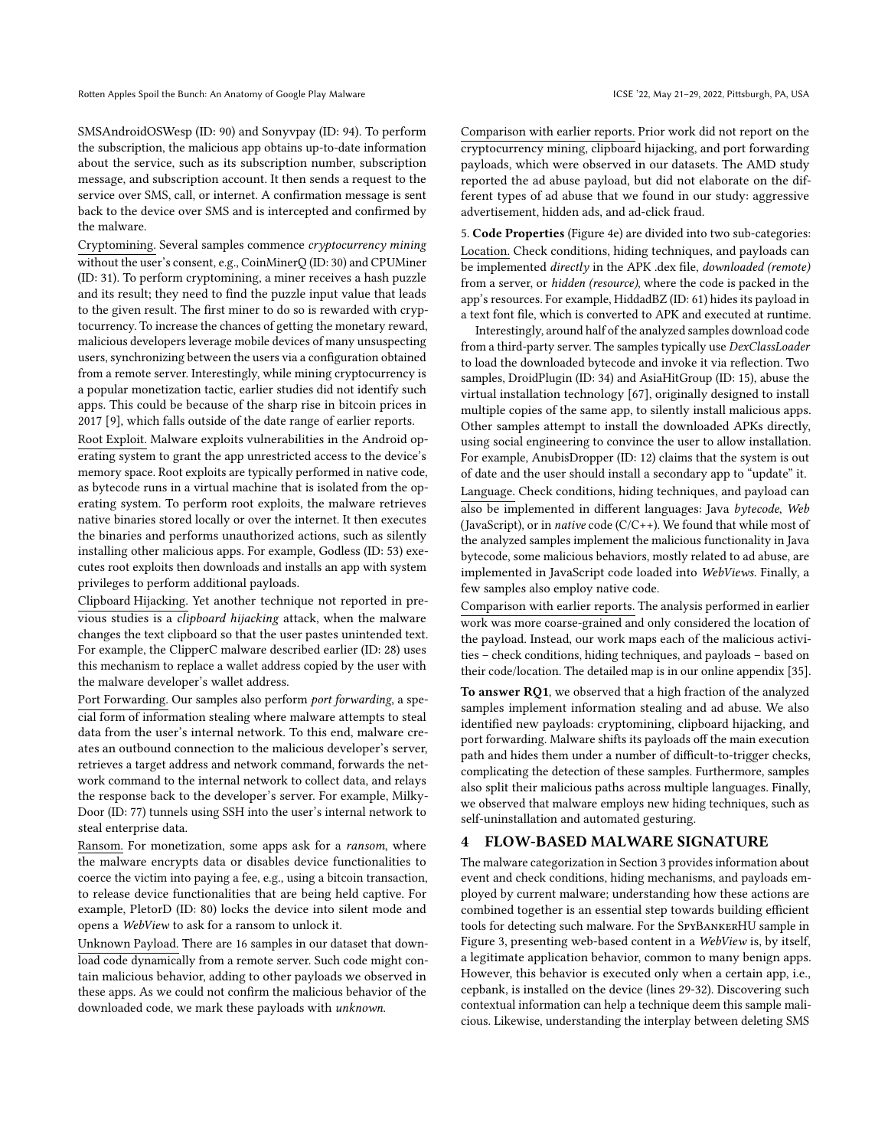SMSAndroidOSWesp (ID: 90) and Sonyvpay (ID: 94). To perform the subscription, the malicious app obtains up-to-date information about the service, such as its subscription number, subscription message, and subscription account. It then sends a request to the service over SMS, call, or internet. A confirmation message is sent back to the device over SMS and is intercepted and confirmed by the malware.

Cryptomining. Several samples commence cryptocurrency mining without the user's consent, e.g., CoinMinerQ (ID: [30\)](#page-3-18) and CPUMiner (ID: [31\)](#page-3-19). To perform cryptomining, a miner receives a hash puzzle and its result; they need to find the puzzle input value that leads to the given result. The first miner to do so is rewarded with cryptocurrency. To increase the chances of getting the monetary reward, malicious developers leverage mobile devices of many unsuspecting users, synchronizing between the users via a configuration obtained from a remote server. Interestingly, while mining cryptocurrency is a popular monetization tactic, earlier studies did not identify such apps. This could be because of the sharp rise in bitcoin prices in 2017 [\[9\]](#page-11-17), which falls outside of the date range of earlier reports.

Root Exploit. Malware exploits vulnerabilities in the Android operating system to grant the app unrestricted access to the device's memory space. Root exploits are typically performed in native code, as bytecode runs in a virtual machine that is isolated from the operating system. To perform root exploits, the malware retrieves native binaries stored locally or over the internet. It then executes the binaries and performs unauthorized actions, such as silently installing other malicious apps. For example, Godless (ID: [53\)](#page-3-20) executes root exploits then downloads and installs an app with system privileges to perform additional payloads.

Clipboard Hijacking. Yet another technique not reported in previous studies is a clipboard hijacking attack, when the malware changes the text clipboard so that the user pastes unintended text. For example, the ClipperC malware described earlier (ID: [28\)](#page-3-5) uses this mechanism to replace a wallet address copied by the user with the malware developer's wallet address.

Port Forwarding. Our samples also perform port forwarding, a special form of information stealing where malware attempts to steal data from the user's internal network. To this end, malware creates an outbound connection to the malicious developer's server, retrieves a target address and network command, forwards the network command to the internal network to collect data, and relays the response back to the developer's server. For example, Milky-Door (ID: [77\)](#page-3-21) tunnels using SSH into the user's internal network to steal enterprise data.

Ransom. For monetization, some apps ask for a ransom, where the malware encrypts data or disables device functionalities to coerce the victim into paying a fee, e.g., using a bitcoin transaction, to release device functionalities that are being held captive. For example, PletorD (ID: [80\)](#page-3-10) locks the device into silent mode and opens a WebView to ask for a ransom to unlock it.

Unknown Payload. There are 16 samples in our dataset that download code dynamically from a remote server. Such code might contain malicious behavior, adding to other payloads we observed in these apps. As we could not confirm the malicious behavior of the downloaded code, we mark these payloads with unknown.

Comparison with earlier reports. Prior work did not report on the cryptocurrency mining, clipboard hijacking, and port forwarding payloads, which were observed in our datasets. The AMD study reported the ad abuse payload, but did not elaborate on the different types of ad abuse that we found in our study: aggressive advertisement, hidden ads, and ad-click fraud.

5. Code Properties (Figure [4e](#page-4-0)) are divided into two sub-categories: Location. Check conditions, hiding techniques, and payloads can be implemented directly in the APK .dex file, downloaded (remote) from a server, or hidden (resource), where the code is packed in the app's resources. For example, HiddadBZ (ID: [61\)](#page-3-22) hides its payload in a text font file, which is converted to APK and executed at runtime.

Interestingly, around half of the analyzed samples download code from a third-party server. The samples typically use DexClassLoader to load the downloaded bytecode and invoke it via reflection. Two samples, DroidPlugin (ID: [34\)](#page-3-23) and AsiaHitGroup (ID: [15\)](#page-3-24), abuse the virtual installation technology [\[67\]](#page-12-21), originally designed to install multiple copies of the same app, to silently install malicious apps. Other samples attempt to install the downloaded APKs directly, using social engineering to convince the user to allow installation. For example, AnubisDropper (ID: [12\)](#page-3-25) claims that the system is out of date and the user should install a secondary app to "update" it. Language. Check conditions, hiding techniques, and payload can also be implemented in different languages: Java bytecode, Web (JavaScript), or in native code (C/C++). We found that while most of the analyzed samples implement the malicious functionality in Java bytecode, some malicious behaviors, mostly related to ad abuse, are implemented in JavaScript code loaded into WebViews. Finally, a few samples also employ native code.

Comparison with earlier reports. The analysis performed in earlier work was more coarse-grained and only considered the location of the payload. Instead, our work maps each of the malicious activities – check conditions, hiding techniques, and payloads – based on their code/location. The detailed map is in our online appendix [\[35\]](#page-11-6).

To answer RQ1, we observed that a high fraction of the analyzed samples implement information stealing and ad abuse. We also identified new payloads: cryptomining, clipboard hijacking, and port forwarding. Malware shifts its payloads off the main execution path and hides them under a number of difficult-to-trigger checks, complicating the detection of these samples. Furthermore, samples also split their malicious paths across multiple languages. Finally, we observed that malware employs new hiding techniques, such as self-uninstallation and automated gesturing.

#### <span id="page-6-0"></span>4 FLOW-BASED MALWARE SIGNATURE

The malware categorization in Section [3](#page-3-0) provides information about event and check conditions, hiding mechanisms, and payloads employed by current malware; understanding how these actions are combined together is an essential step towards building efficient tools for detecting such malware. For the SpyBankerHU sample in Figure [3,](#page-3-2) presenting web-based content in a WebView is, by itself, a legitimate application behavior, common to many benign apps. However, this behavior is executed only when a certain app, i.e., cepbank, is installed on the device (lines 29-32). Discovering such contextual information can help a technique deem this sample malicious. Likewise, understanding the interplay between deleting SMS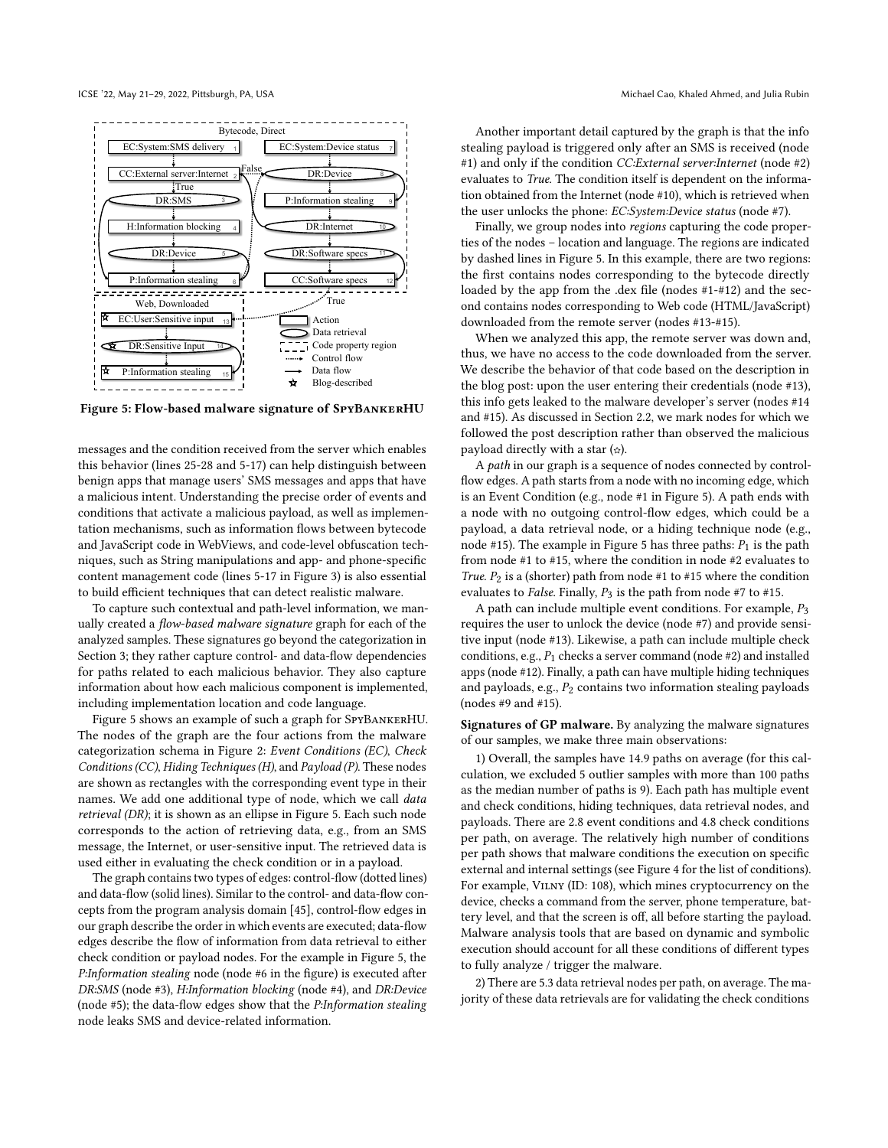<span id="page-7-0"></span>

Figure 5: Flow-based malware signature of SpyBankerHU

messages and the condition received from the server which enables this behavior (lines 25-28 and 5-17) can help distinguish between benign apps that manage users' SMS messages and apps that have a malicious intent. Understanding the precise order of events and conditions that activate a malicious payload, as well as implementation mechanisms, such as information flows between bytecode and JavaScript code in WebViews, and code-level obfuscation techniques, such as String manipulations and app- and phone-specific content management code (lines 5-17 in Figure [3\)](#page-3-2) is also essential to build efficient techniques that can detect realistic malware.

To capture such contextual and path-level information, we manually created a flow-based malware signature graph for each of the analyzed samples. These signatures go beyond the categorization in Section [3;](#page-3-0) they rather capture control- and data-flow dependencies for paths related to each malicious behavior. They also capture information about how each malicious component is implemented, including implementation location and code language.

Figure [5](#page-7-0) shows an example of such a graph for SpyBankerHU. The nodes of the graph are the four actions from the malware categorization schema in Figure [2:](#page-3-1) Event Conditions (EC), Check Conditions (CC), Hiding Techniques (H), and Payload (P). These nodes are shown as rectangles with the corresponding event type in their names. We add one additional type of node, which we call data retrieval (DR); it is shown as an ellipse in Figure [5.](#page-7-0) Each such node corresponds to the action of retrieving data, e.g., from an SMS message, the Internet, or user-sensitive input. The retrieved data is used either in evaluating the check condition or in a payload.

The graph contains two types of edges: control-flow (dotted lines) and data-flow (solid lines). Similar to the control- and data-flow concepts from the program analysis domain [\[45\]](#page-11-18), control-flow edges in our graph describe the order in which events are executed; data-flow edges describe the flow of information from data retrieval to either check condition or payload nodes. For the example in Figure [5,](#page-7-0) the P:Information stealing node (node #6 in the figure) is executed after DR:SMS (node #3), H:Information blocking (node #4), and DR:Device (node #5); the data-flow edges show that the P:Information stealing node leaks SMS and device-related information.

Another important detail captured by the graph is that the info stealing payload is triggered only after an SMS is received (node #1) and only if the condition CC:External server:Internet (node #2) evaluates to True. The condition itself is dependent on the information obtained from the Internet (node #10), which is retrieved when the user unlocks the phone: EC:System:Device status (node #7).

Finally, we group nodes into regions capturing the code properties of the nodes – location and language. The regions are indicated by dashed lines in Figure [5.](#page-7-0) In this example, there are two regions: the first contains nodes corresponding to the bytecode directly loaded by the app from the .dex file (nodes #1-#12) and the second contains nodes corresponding to Web code (HTML/JavaScript) downloaded from the remote server (nodes #13-#15).

When we analyzed this app, the remote server was down and, thus, we have no access to the code downloaded from the server. We describe the behavior of that code based on the description in the blog post: upon the user entering their credentials (node #13), this info gets leaked to the malware developer's server (nodes #14 and #15). As discussed in Section [2.2,](#page-2-0) we mark nodes for which we followed the post description rather than observed the malicious payload directly with a star  $(\alpha)$ .

A path in our graph is a sequence of nodes connected by controlflow edges. A path starts from a node with no incoming edge, which is an Event Condition (e.g., node #1 in Figure [5\)](#page-7-0). A path ends with a node with no outgoing control-flow edges, which could be a payload, a data retrieval node, or a hiding technique node (e.g., node #15). The example in Figure [5](#page-7-0) has three paths:  $P_1$  is the path from node #1 to #15, where the condition in node #2 evaluates to True.  $P_2$  is a (shorter) path from node #1 to #15 where the condition evaluates to *False*. Finally,  $P_3$  is the path from node #7 to #15.

A path can include multiple event conditions. For example,  $P_3$ requires the user to unlock the device (node #7) and provide sensitive input (node #13). Likewise, a path can include multiple check conditions, e.g.,  $P_1$  checks a server command (node #2) and installed apps (node #12). Finally, a path can have multiple hiding techniques and payloads, e.g.,  $P_2$  contains two information stealing payloads (nodes #9 and #15).

Signatures of GP malware. By analyzing the malware signatures of our samples, we make three main observations:

1) Overall, the samples have 14.9 paths on average (for this calculation, we excluded 5 outlier samples with more than 100 paths as the median number of paths is 9). Each path has multiple event and check conditions, hiding techniques, data retrieval nodes, and payloads. There are 2.8 event conditions and 4.8 check conditions per path, on average. The relatively high number of conditions per path shows that malware conditions the execution on specific external and internal settings (see Figure [4](#page-4-0) for the list of conditions). For example, VILNY (ID: [108\)](#page-3-9), which mines cryptocurrency on the device, checks a command from the server, phone temperature, battery level, and that the screen is off, all before starting the payload. Malware analysis tools that are based on dynamic and symbolic execution should account for all these conditions of different types to fully analyze / trigger the malware.

2) There are 5.3 data retrieval nodes per path, on average. The majority of these data retrievals are for validating the check conditions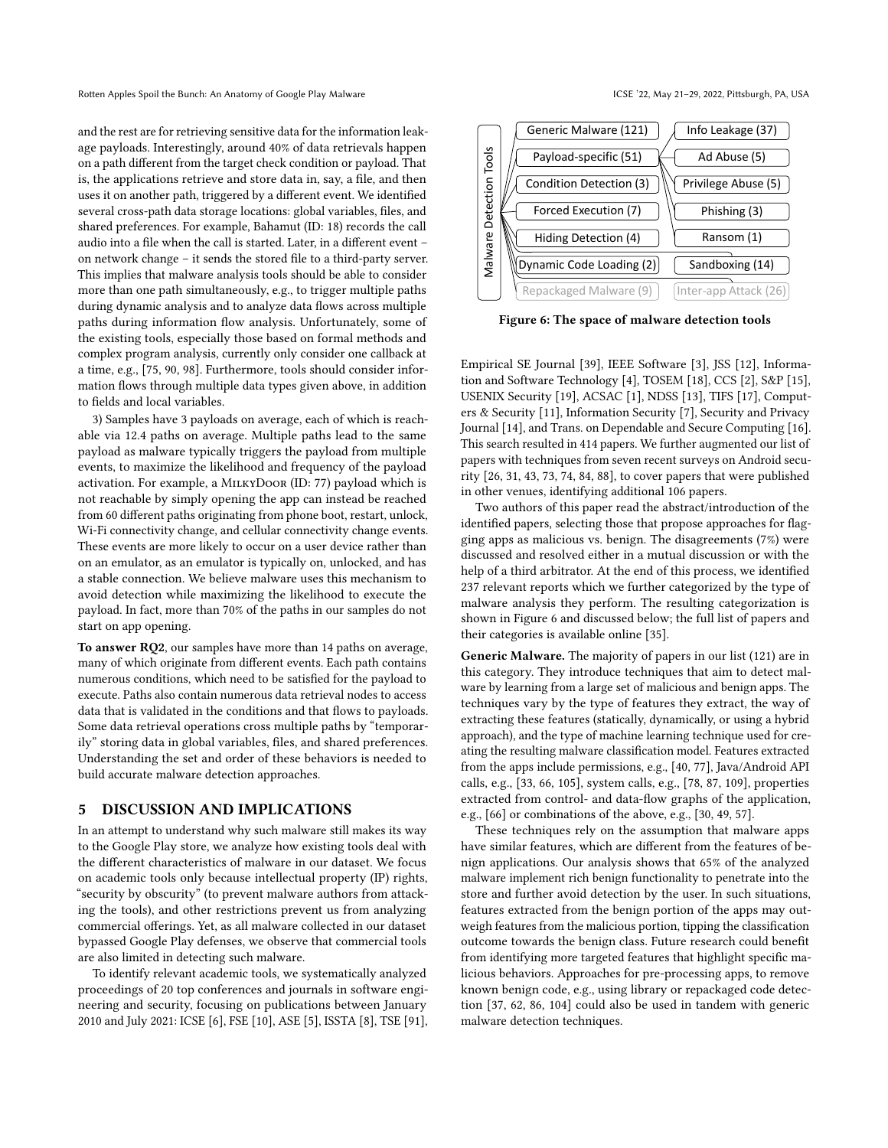and the rest are for retrieving sensitive data for the information leakage payloads. Interestingly, around 40% of data retrievals happen on a path different from the target check condition or payload. That is, the applications retrieve and store data in, say, a file, and then uses it on another path, triggered by a different event. We identified several cross-path data storage locations: global variables, files, and shared preferences. For example, Bahamut (ID: [18\)](#page-3-26) records the call audio into a file when the call is started. Later, in a different event – on network change – it sends the stored file to a third-party server. This implies that malware analysis tools should be able to consider more than one path simultaneously, e.g., to trigger multiple paths during dynamic analysis and to analyze data flows across multiple paths during information flow analysis. Unfortunately, some of the existing tools, especially those based on formal methods and complex program analysis, currently only consider one callback at a time, e.g., [\[75,](#page-12-6) [90,](#page-12-7) [98\]](#page-12-8). Furthermore, tools should consider information flows through multiple data types given above, in addition to fields and local variables.

3) Samples have 3 payloads on average, each of which is reachable via 12.4 paths on average. Multiple paths lead to the same payload as malware typically triggers the payload from multiple events, to maximize the likelihood and frequency of the payload activation. For example, a MilkyDoor (ID: [77\)](#page-3-21) payload which is not reachable by simply opening the app can instead be reached from 60 different paths originating from phone boot, restart, unlock, Wi-Fi connectivity change, and cellular connectivity change events. These events are more likely to occur on a user device rather than on an emulator, as an emulator is typically on, unlocked, and has a stable connection. We believe malware uses this mechanism to avoid detection while maximizing the likelihood to execute the payload. In fact, more than 70% of the paths in our samples do not start on app opening.

To answer RQ2, our samples have more than 14 paths on average, many of which originate from different events. Each path contains numerous conditions, which need to be satisfied for the payload to execute. Paths also contain numerous data retrieval nodes to access data that is validated in the conditions and that flows to payloads. Some data retrieval operations cross multiple paths by "temporarily" storing data in global variables, files, and shared preferences. Understanding the set and order of these behaviors is needed to build accurate malware detection approaches.

#### <span id="page-8-0"></span>5 DISCUSSION AND IMPLICATIONS

In an attempt to understand why such malware still makes its way to the Google Play store, we analyze how existing tools deal with the different characteristics of malware in our dataset. We focus on academic tools only because intellectual property (IP) rights, "security by obscurity" (to prevent malware authors from attacking the tools), and other restrictions prevent us from analyzing commercial offerings. Yet, as all malware collected in our dataset bypassed Google Play defenses, we observe that commercial tools are also limited in detecting such malware.

To identify relevant academic tools, we systematically analyzed proceedings of 20 top conferences and journals in software engineering and security, focusing on publications between January 2010 and July 2021: ICSE [\[6\]](#page-11-19), FSE [\[10\]](#page-11-20), ASE [\[5\]](#page-11-21), ISSTA [\[8\]](#page-11-22), TSE [\[91\]](#page-12-22),

<span id="page-8-1"></span>

Figure 6: The space of malware detection tools

Empirical SE Journal [\[39\]](#page-11-23), IEEE Software [\[3\]](#page-11-24), JSS [\[12\]](#page-11-25), Information and Software Technology [\[4\]](#page-11-26), TOSEM [\[18\]](#page-11-27), CCS [\[2\]](#page-11-28), S&P [\[15\]](#page-11-29), USENIX Security [\[19\]](#page-11-30), ACSAC [\[1\]](#page-11-31), NDSS [\[13\]](#page-11-32), TIFS [\[17\]](#page-11-33), Computers & Security [\[11\]](#page-11-34), Information Security [\[7\]](#page-11-35), Security and Privacy Journal [\[14\]](#page-11-36), and Trans. on Dependable and Secure Computing [\[16\]](#page-11-37). This search resulted in 414 papers. We further augmented our list of papers with techniques from seven recent surveys on Android security [\[26,](#page-11-38) [31,](#page-11-39) [43,](#page-11-40) [73,](#page-12-23) [74,](#page-12-24) [84,](#page-12-25) [88\]](#page-12-26), to cover papers that were published in other venues, identifying additional 106 papers.

Two authors of this paper read the abstract/introduction of the identified papers, selecting those that propose approaches for flagging apps as malicious vs. benign. The disagreements (7%) were discussed and resolved either in a mutual discussion or with the help of a third arbitrator. At the end of this process, we identified 237 relevant reports which we further categorized by the type of malware analysis they perform. The resulting categorization is shown in Figure [6](#page-8-1) and discussed below; the full list of papers and their categories is available online [\[35\]](#page-11-6).

Generic Malware. The majority of papers in our list (121) are in this category. They introduce techniques that aim to detect malware by learning from a large set of malicious and benign apps. The techniques vary by the type of features they extract, the way of extracting these features (statically, dynamically, or using a hybrid approach), and the type of machine learning technique used for creating the resulting malware classification model. Features extracted from the apps include permissions, e.g., [\[40,](#page-11-41) [77\]](#page-12-27), Java/Android API calls, e.g., [\[33,](#page-11-42) [66,](#page-12-28) [105\]](#page-12-29), system calls, e.g., [\[78,](#page-12-30) [87,](#page-12-31) [109\]](#page-12-5), properties extracted from control- and data-flow graphs of the application, e.g., [\[66\]](#page-12-28) or combinations of the above, e.g., [\[30,](#page-11-0) [49,](#page-11-43) [57\]](#page-11-44).

These techniques rely on the assumption that malware apps have similar features, which are different from the features of benign applications. Our analysis shows that 65% of the analyzed malware implement rich benign functionality to penetrate into the store and further avoid detection by the user. In such situations, features extracted from the benign portion of the apps may outweigh features from the malicious portion, tipping the classification outcome towards the benign class. Future research could benefit from identifying more targeted features that highlight specific malicious behaviors. Approaches for pre-processing apps, to remove known benign code, e.g., using library or repackaged code detection [\[37,](#page-11-45) [62,](#page-11-46) [86,](#page-12-32) [104\]](#page-12-33) could also be used in tandem with generic malware detection techniques.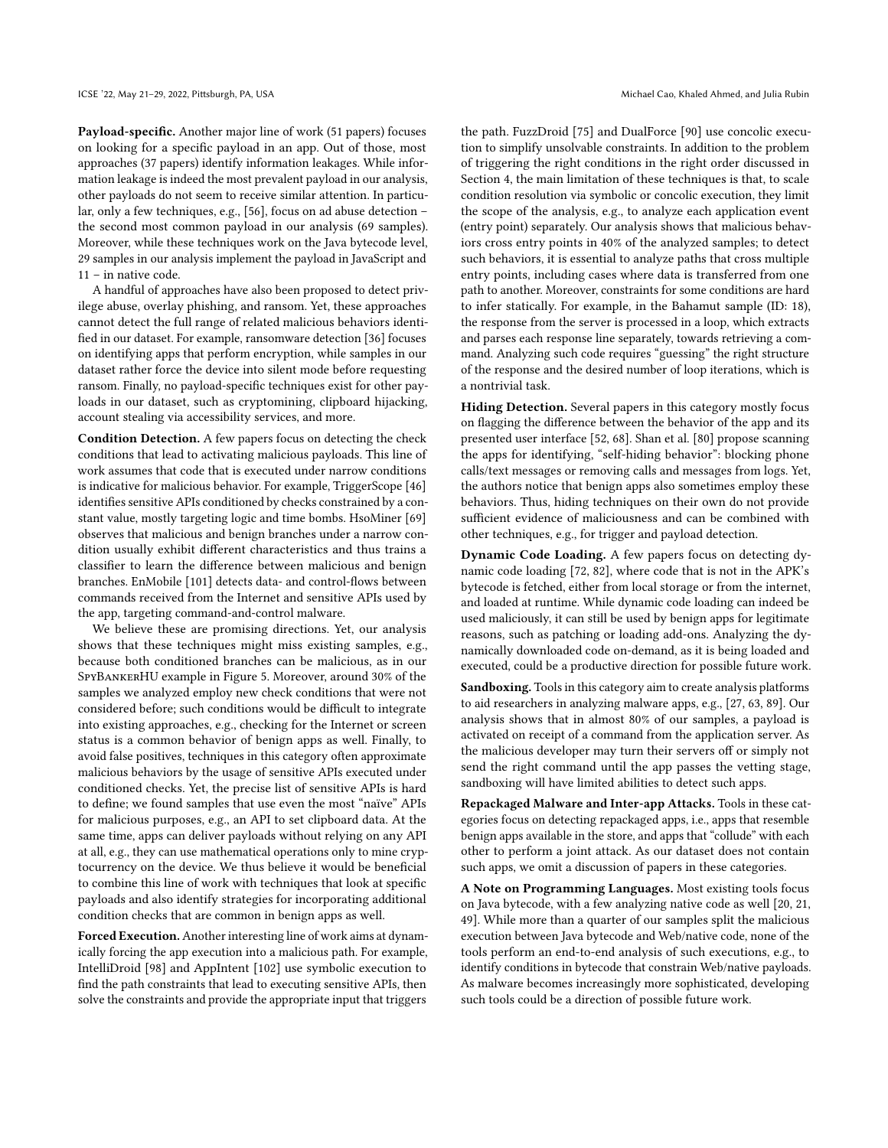Payload-specific. Another major line of work (51 papers) focuses on looking for a specific payload in an app. Out of those, most approaches (37 papers) identify information leakages. While information leakage is indeed the most prevalent payload in our analysis, other payloads do not seem to receive similar attention. In particular, only a few techniques, e.g., [\[56\]](#page-11-47), focus on ad abuse detection – the second most common payload in our analysis (69 samples). Moreover, while these techniques work on the Java bytecode level, 29 samples in our analysis implement the payload in JavaScript and 11 – in native code.

A handful of approaches have also been proposed to detect privilege abuse, overlay phishing, and ransom. Yet, these approaches cannot detect the full range of related malicious behaviors identified in our dataset. For example, ransomware detection [\[36\]](#page-11-2) focuses on identifying apps that perform encryption, while samples in our dataset rather force the device into silent mode before requesting ransom. Finally, no payload-specific techniques exist for other payloads in our dataset, such as cryptomining, clipboard hijacking, account stealing via accessibility services, and more.

Condition Detection. A few papers focus on detecting the check conditions that lead to activating malicious payloads. This line of work assumes that code that is executed under narrow conditions is indicative for malicious behavior. For example, TriggerScope [\[46\]](#page-11-48) identifies sensitive APIs conditioned by checks constrained by a constant value, mostly targeting logic and time bombs. HsoMiner [\[69\]](#page-12-34) observes that malicious and benign branches under a narrow condition usually exhibit different characteristics and thus trains a classifier to learn the difference between malicious and benign branches. EnMobile [\[101\]](#page-12-9) detects data- and control-flows between commands received from the Internet and sensitive APIs used by the app, targeting command-and-control malware.

We believe these are promising directions. Yet, our analysis shows that these techniques might miss existing samples, e.g., because both conditioned branches can be malicious, as in our SpyBankerHU example in Figure [5.](#page-7-0) Moreover, around 30% of the samples we analyzed employ new check conditions that were not considered before; such conditions would be difficult to integrate into existing approaches, e.g., checking for the Internet or screen status is a common behavior of benign apps as well. Finally, to avoid false positives, techniques in this category often approximate malicious behaviors by the usage of sensitive APIs executed under conditioned checks. Yet, the precise list of sensitive APIs is hard to define; we found samples that use even the most "naïve" APIs for malicious purposes, e.g., an API to set clipboard data. At the same time, apps can deliver payloads without relying on any API at all, e.g., they can use mathematical operations only to mine cryptocurrency on the device. We thus believe it would be beneficial to combine this line of work with techniques that look at specific payloads and also identify strategies for incorporating additional condition checks that are common in benign apps as well.

Forced Execution. Another interesting line of work aims at dynamically forcing the app execution into a malicious path. For example, IntelliDroid [\[98\]](#page-12-8) and AppIntent [\[102\]](#page-12-10) use symbolic execution to find the path constraints that lead to executing sensitive APIs, then solve the constraints and provide the appropriate input that triggers

the path. FuzzDroid [\[75\]](#page-12-6) and DualForce [\[90\]](#page-12-7) use concolic execution to simplify unsolvable constraints. In addition to the problem of triggering the right conditions in the right order discussed in Section [4,](#page-6-0) the main limitation of these techniques is that, to scale condition resolution via symbolic or concolic execution, they limit the scope of the analysis, e.g., to analyze each application event (entry point) separately. Our analysis shows that malicious behaviors cross entry points in 40% of the analyzed samples; to detect such behaviors, it is essential to analyze paths that cross multiple entry points, including cases where data is transferred from one path to another. Moreover, constraints for some conditions are hard to infer statically. For example, in the Bahamut sample (ID: [18\)](#page-3-26), the response from the server is processed in a loop, which extracts and parses each response line separately, towards retrieving a command. Analyzing such code requires "guessing" the right structure of the response and the desired number of loop iterations, which is a nontrivial task.

Hiding Detection. Several papers in this category mostly focus on flagging the difference between the behavior of the app and its presented user interface [\[52,](#page-11-49) [68\]](#page-12-35). Shan et al. [\[80\]](#page-12-36) propose scanning the apps for identifying, "self-hiding behavior": blocking phone calls/text messages or removing calls and messages from logs. Yet, the authors notice that benign apps also sometimes employ these behaviors. Thus, hiding techniques on their own do not provide sufficient evidence of maliciousness and can be combined with other techniques, e.g., for trigger and payload detection.

Dynamic Code Loading. A few papers focus on detecting dynamic code loading [\[72,](#page-12-37) [82\]](#page-12-38), where code that is not in the APK's bytecode is fetched, either from local storage or from the internet, and loaded at runtime. While dynamic code loading can indeed be used maliciously, it can still be used by benign apps for legitimate reasons, such as patching or loading add-ons. Analyzing the dynamically downloaded code on-demand, as it is being loaded and executed, could be a productive direction for possible future work.

Sandboxing. Tools in this category aim to create analysis platforms to aid researchers in analyzing malware apps, e.g., [\[27,](#page-11-50) [63,](#page-11-51) [89\]](#page-12-39). Our analysis shows that in almost 80% of our samples, a payload is activated on receipt of a command from the application server. As the malicious developer may turn their servers off or simply not send the right command until the app passes the vetting stage, sandboxing will have limited abilities to detect such apps.

Repackaged Malware and Inter-app Attacks. Tools in these categories focus on detecting repackaged apps, i.e., apps that resemble benign apps available in the store, and apps that "collude" with each other to perform a joint attack. As our dataset does not contain such apps, we omit a discussion of papers in these categories.

A Note on Programming Languages. Most existing tools focus on Java bytecode, with a few analyzing native code as well [\[20,](#page-11-52) [21,](#page-11-53) [49\]](#page-11-43). While more than a quarter of our samples split the malicious execution between Java bytecode and Web/native code, none of the tools perform an end-to-end analysis of such executions, e.g., to identify conditions in bytecode that constrain Web/native payloads. As malware becomes increasingly more sophisticated, developing such tools could be a direction of possible future work.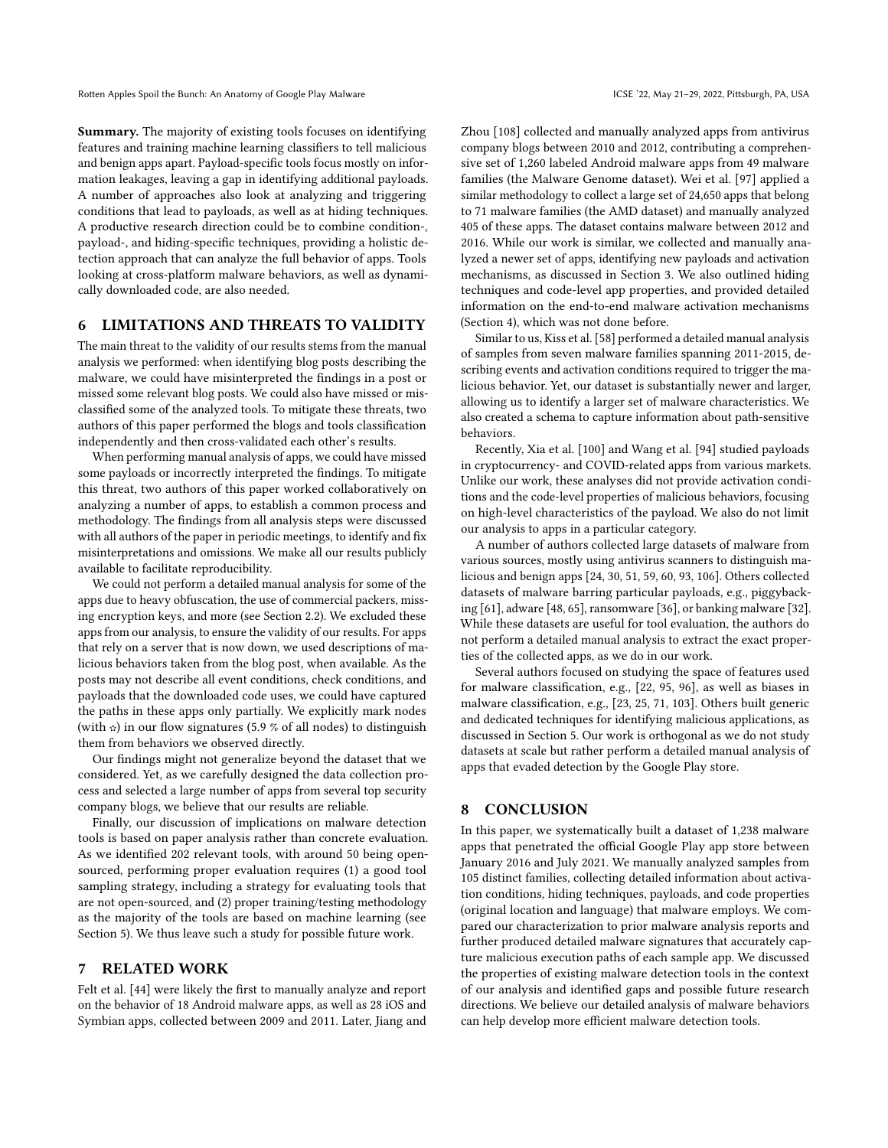Summary. The majority of existing tools focuses on identifying features and training machine learning classifiers to tell malicious and benign apps apart. Payload-specific tools focus mostly on information leakages, leaving a gap in identifying additional payloads. A number of approaches also look at analyzing and triggering conditions that lead to payloads, as well as at hiding techniques. A productive research direction could be to combine condition-, payload-, and hiding-specific techniques, providing a holistic detection approach that can analyze the full behavior of apps. Tools looking at cross-platform malware behaviors, as well as dynamically downloaded code, are also needed.

## 6 LIMITATIONS AND THREATS TO VALIDITY

The main threat to the validity of our results stems from the manual analysis we performed: when identifying blog posts describing the malware, we could have misinterpreted the findings in a post or missed some relevant blog posts. We could also have missed or misclassified some of the analyzed tools. To mitigate these threats, two authors of this paper performed the blogs and tools classification independently and then cross-validated each other's results.

When performing manual analysis of apps, we could have missed some payloads or incorrectly interpreted the findings. To mitigate this threat, two authors of this paper worked collaboratively on analyzing a number of apps, to establish a common process and methodology. The findings from all analysis steps were discussed with all authors of the paper in periodic meetings, to identify and fix misinterpretations and omissions. We make all our results publicly available to facilitate reproducibility.

We could not perform a detailed manual analysis for some of the apps due to heavy obfuscation, the use of commercial packers, missing encryption keys, and more (see Section [2.2\)](#page-2-0). We excluded these apps from our analysis, to ensure the validity of our results. For apps that rely on a server that is now down, we used descriptions of malicious behaviors taken from the blog post, when available. As the posts may not describe all event conditions, check conditions, and payloads that the downloaded code uses, we could have captured the paths in these apps only partially. We explicitly mark nodes (with  $\alpha$ ) in our flow signatures (5.9 % of all nodes) to distinguish them from behaviors we observed directly.

Our findings might not generalize beyond the dataset that we considered. Yet, as we carefully designed the data collection process and selected a large number of apps from several top security company blogs, we believe that our results are reliable.

Finally, our discussion of implications on malware detection tools is based on paper analysis rather than concrete evaluation. As we identified 202 relevant tools, with around 50 being opensourced, performing proper evaluation requires (1) a good tool sampling strategy, including a strategy for evaluating tools that are not open-sourced, and (2) proper training/testing methodology as the majority of the tools are based on machine learning (see Section [5\)](#page-8-0). We thus leave such a study for possible future work.

## 7 RELATED WORK

Felt et al. [\[44\]](#page-11-54) were likely the first to manually analyze and report on the behavior of 18 Android malware apps, as well as 28 iOS and Symbian apps, collected between 2009 and 2011. Later, Jiang and Zhou [\[108\]](#page-12-4) collected and manually analyzed apps from antivirus company blogs between 2010 and 2012, contributing a comprehensive set of 1,260 labeled Android malware apps from 49 malware families (the Malware Genome dataset). Wei et al. [\[97\]](#page-12-3) applied a similar methodology to collect a large set of 24,650 apps that belong to 71 malware families (the AMD dataset) and manually analyzed 405 of these apps. The dataset contains malware between 2012 and 2016. While our work is similar, we collected and manually analyzed a newer set of apps, identifying new payloads and activation mechanisms, as discussed in Section [3.](#page-3-0) We also outlined hiding techniques and code-level app properties, and provided detailed information on the end-to-end malware activation mechanisms (Section [4\)](#page-6-0), which was not done before.

Similar to us, Kiss et al. [\[58\]](#page-11-55) performed a detailed manual analysis of samples from seven malware families spanning 2011-2015, describing events and activation conditions required to trigger the malicious behavior. Yet, our dataset is substantially newer and larger, allowing us to identify a larger set of malware characteristics. We also created a schema to capture information about path-sensitive behaviors.

Recently, Xia et al. [\[100\]](#page-12-40) and Wang et al. [\[94\]](#page-12-41) studied payloads in cryptocurrency- and COVID-related apps from various markets. Unlike our work, these analyses did not provide activation conditions and the code-level properties of malicious behaviors, focusing on high-level characteristics of the payload. We also do not limit our analysis to apps in a particular category.

A number of authors collected large datasets of malware from various sources, mostly using antivirus scanners to distinguish malicious and benign apps [\[24,](#page-11-4) [30,](#page-11-0) [51,](#page-11-56) [59,](#page-11-57) [60,](#page-11-58) [93,](#page-12-2) [106\]](#page-12-42). Others collected datasets of malware barring particular payloads, e.g., piggybacking [\[61\]](#page-11-3), adware [\[48,](#page-11-59) [65\]](#page-12-1), ransomware [\[36\]](#page-11-2), or banking malware [\[32\]](#page-11-1). While these datasets are useful for tool evaluation, the authors do not perform a detailed manual analysis to extract the exact properties of the collected apps, as we do in our work.

Several authors focused on studying the space of features used for malware classification, e.g., [\[22,](#page-11-60) [95,](#page-12-43) [96\]](#page-12-44), as well as biases in malware classification, e.g., [\[23,](#page-11-61) [25,](#page-11-62) [71,](#page-12-45) [103\]](#page-12-46). Others built generic and dedicated techniques for identifying malicious applications, as discussed in Section [5.](#page-8-0) Our work is orthogonal as we do not study datasets at scale but rather perform a detailed manual analysis of apps that evaded detection by the Google Play store.

#### 8 CONCLUSION

In this paper, we systematically built a dataset of 1,238 malware apps that penetrated the official Google Play app store between January 2016 and July 2021. We manually analyzed samples from 105 distinct families, collecting detailed information about activation conditions, hiding techniques, payloads, and code properties (original location and language) that malware employs. We compared our characterization to prior malware analysis reports and further produced detailed malware signatures that accurately capture malicious execution paths of each sample app. We discussed the properties of existing malware detection tools in the context of our analysis and identified gaps and possible future research directions. We believe our detailed analysis of malware behaviors can help develop more efficient malware detection tools.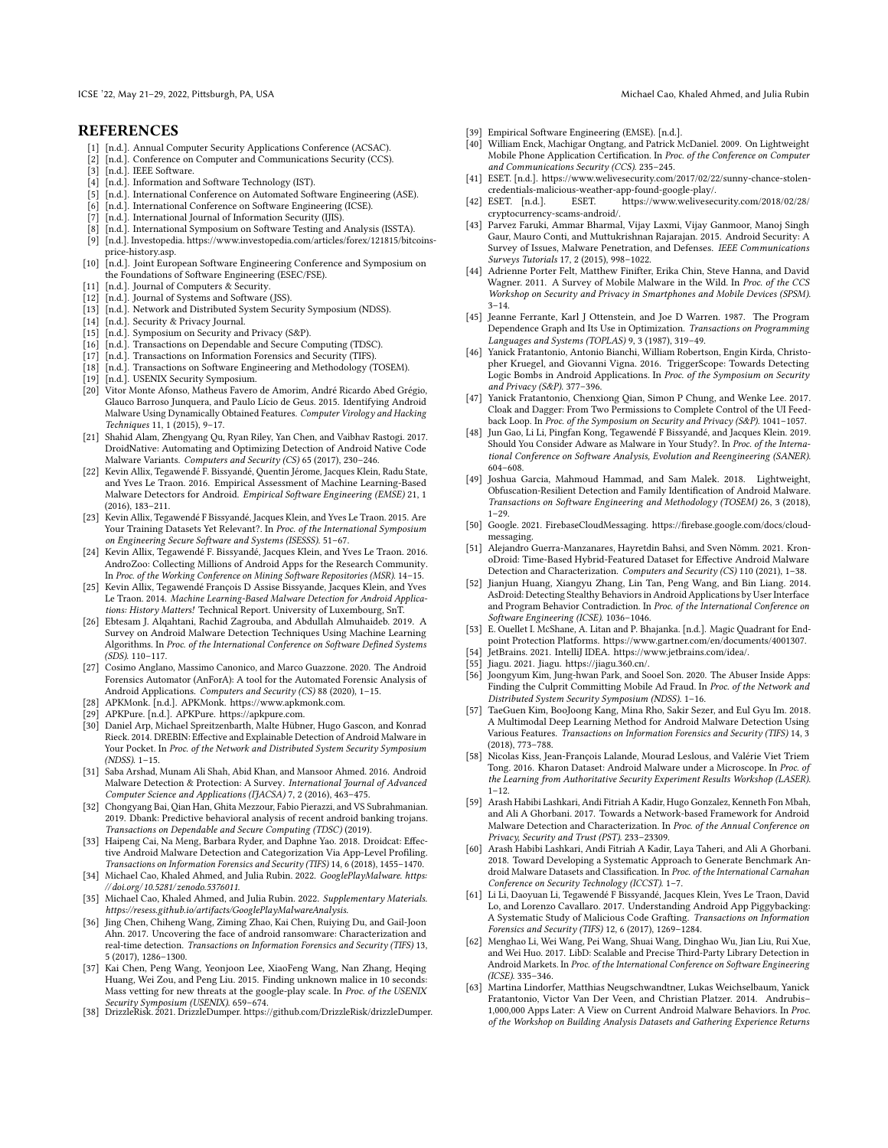#### **REFERENCES**

- <span id="page-11-31"></span>[1] [n.d.]. Annual Computer Security Applications Conference (ACSAC).
- <span id="page-11-28"></span>[2] [n.d.]. Conference on Computer and Communications Security (CCS).<br>[3] [n.d.]. IEEE Software.
- <span id="page-11-24"></span>[n.d.]. IEEE Software.
- <span id="page-11-26"></span>[4] [n.d.]. Information and Software Technology (IST).
- <span id="page-11-21"></span>[5] [n.d.]. International Conference on Automated Software Engineering (ASE).
- <span id="page-11-19"></span>[n.d.]. International Conference on Software Engineering (ICSE).
- <span id="page-11-35"></span>[7] [n.d.]. International Journal of Information Security (IJIS).
- <span id="page-11-22"></span><span id="page-11-17"></span>[8] [n.d.]. International Symposium on Software Testing and Analysis (ISSTA). [9] [n.d.]. Investopedia. https://www.investopedia.com/articles/forex/121815/bitcoins-
- <span id="page-11-20"></span>price-history.asp. [10] [n.d.]. Joint European Software Engineering Conference and Symposium on
- the Foundations of Software Engineering (ESEC/FSE).
- <span id="page-11-34"></span>[n.d.]. Journal of Computers & Security.
- <span id="page-11-32"></span><span id="page-11-25"></span>[12] [n.d.]. Journal of Systems and Software (JSS). [13] [n.d.]. Network and Distributed System Security Symposium (NDSS).
- <span id="page-11-36"></span>[14] [n.d.]. Security & Privacy Journal.
- <span id="page-11-29"></span>[15] [n.d.]. Symposium on Security and Privacy (S&P).
- <span id="page-11-37"></span>[16] [n.d.]. Transactions on Dependable and Secure Computing (TDSC).
- <span id="page-11-33"></span>[17] [n.d.]. Transactions on Information Forensics and Security (TIFS).
- <span id="page-11-27"></span>[18] [n.d.]. Transactions on Software Engineering and Methodology (TOSEM).
- <span id="page-11-30"></span>[19] [n.d.]. USENIX Security Symposium.<br>[20] Vitor Monte Afonso. Matheus Favero.
- <span id="page-11-52"></span>Vitor Monte Afonso, Matheus Favero de Amorim, André Ricardo Abed Grégio, Glauco Barroso Junquera, and Paulo Lício de Geus. 2015. Identifying Android Malware Using Dynamically Obtained Features. Computer Virology and Hacking Techniques 11, 1 (2015), 9–17.
- <span id="page-11-53"></span>[21] Shahid Alam, Zhengyang Qu, Ryan Riley, Yan Chen, and Vaibhav Rastogi. 2017. DroidNative: Automating and Optimizing Detection of Android Native Code Malware Variants. Computers and Security (CS) 65 (2017), 230–246.
- <span id="page-11-60"></span>[22] Kevin Allix, Tegawendé F. Bissyandé, Quentin Jérome, Jacques Klein, Radu State, and Yves Le Traon. 2016. Empirical Assessment of Machine Learning-Based Malware Detectors for Android. Empirical Software Engineering (EMSE) 21, 1 (2016), 183–211.
- <span id="page-11-61"></span>[23] Kevin Allix, Tegawendé F Bissyandé, Jacques Klein, and Yves Le Traon. 2015. Are Your Training Datasets Yet Relevant?. In Proc. of the International Symposium on Engineering Secure Software and Systems (ISESSS). 51–67.
- <span id="page-11-4"></span>[24] Kevin Allix, Tegawendé F. Bissyandé, Jacques Klein, and Yves Le Traon. 2016. AndroZoo: Collecting Millions of Android Apps for the Research Community. In Proc. of the Working Conference on Mining Software Repositories (MSR). 14–15.
- <span id="page-11-62"></span>[25] Kevin Allix, Tegawendé François D Assise Bissyande, Jacques Klein, and Yves Le Traon. 2014. Machine Learning-Based Malware Detection for Android Applications: History Matters! Technical Report. University of Luxembourg, SnT.
- <span id="page-11-38"></span>[26] Ebtesam J. Alqahtani, Rachid Zagrouba, and Abdullah Almuhaideb. 2019. A Survey on Android Malware Detection Techniques Using Machine Learning Algorithms. In Proc. of the International Conference on Software Defined Systems (SDS). 110–117.
- <span id="page-11-50"></span>[27] Cosimo Anglano, Massimo Canonico, and Marco Guazzone. 2020. The Android Forensics Automator (AnForA): A tool for the Automated Forensic Analysis of Android Applications. Computers and Security (CS) 88 (2020), 1-15.
- <span id="page-11-9"></span>[28] APKMonk. [n.d.]. APKMonk. https://www.apkmonk.com.
- <span id="page-11-10"></span>[29] APKPure. [n.d.]. APKPure. https://apkpure.com.
- <span id="page-11-0"></span>[30] Daniel Arp, Michael Spreitzenbarth, Malte Hübner, Hugo Gascon, and Konrad Rieck. 2014. DREBIN: Effective and Explainable Detection of Android Malware in Your Pocket. In Proc. of the Network and Distributed System Security Symposium (NDSS). 1–15.
- <span id="page-11-39"></span>[31] Saba Arshad, Munam Ali Shah, Abid Khan, and Mansoor Ahmed. 2016. Android Malware Detection & Protection: A Survey. International Journal of Advanced Computer Science and Applications (IJACSA) 7, 2 (2016), 463–475.
- <span id="page-11-1"></span>[32] Chongyang Bai, Qian Han, Ghita Mezzour, Fabio Pierazzi, and VS Subrahmanian. 2019. Dbank: Predictive behavioral analysis of recent android banking trojans. Transactions on Dependable and Secure Computing (TDSC) (2019).
- <span id="page-11-42"></span>[33] Haipeng Cai, Na Meng, Barbara Ryder, and Daphne Yao. 2018. Droidcat: Effective Android Malware Detection and Categorization Via App-Level Profiling. Transactions on Information Forensics and Security (TIFS) 14, 6 (2018), 1455–1470.
- <span id="page-11-7"></span>[34] Michael Cao, Khaled Ahmed, and Julia Rubin. 2022. GooglePlayMalware. [https:](https://doi.org/10.5281/zenodo.5376011) [//doi.org/ 10.5281/ zenodo.5376011](https://doi.org/10.5281/zenodo.5376011).
- <span id="page-11-6"></span>[35] Michael Cao, Khaled Ahmed, and Julia Rubin. 2022. Supplementary Materials. https://resess.github.io/artifacts/GooglePlayMalwareAnalysis.
- <span id="page-11-2"></span>[36] Jing Chen, Chiheng Wang, Ziming Zhao, Kai Chen, Ruiying Du, and Gail-Joon Ahn. 2017. Uncovering the face of android ransomware: Characterization and real-time detection. Transactions on Information Forensics and Security (TIFS) 13, 5 (2017), 1286–1300.
- <span id="page-11-45"></span>[37] Kai Chen, Peng Wang, Yeonjoon Lee, XiaoFeng Wang, Nan Zhang, Heqing Huang, Wei Zou, and Peng Liu. 2015. Finding unknown malice in 10 seconds Mass vetting for new threats at the google-play scale. In Proc. of the USENIX
- <span id="page-11-13"></span>Security Symposium (USENIX). 659–674. [38] DrizzleRisk. 2021. DrizzleDumper. https://github.com/DrizzleRisk/drizzleDumper.
- <span id="page-11-23"></span>[39] Empirical Software Engineering (EMSE). [n.d.].
- <span id="page-11-41"></span>[40] William Enck, Machigar Ongtang, and Patrick McDaniel. 2009. On Lightweight Mobile Phone Application Certification. In Proc. of the Conference on Computer and Communications Security (CCS). 235–245.
- <span id="page-11-14"></span>[41] ESET. [n.d.]. https://www.welivesecurity.com/2017/02/22/sunny-chance-stolencredentials-malicious-weather-app-found-google-play/.
- <span id="page-11-8"></span>[42] ESET. [n.d.]. ESET. https://www.welivesecurity.com/2018/02/28/ cryptocurrency-scams-android/.
- <span id="page-11-40"></span>[43] Parvez Faruki, Ammar Bharmal, Vijay Laxmi, Vijay Ganmoor, Manoj Singh Gaur, Mauro Conti, and Muttukrishnan Rajarajan. 2015. Android Security: A Survey of Issues, Malware Penetration, and Defenses. IEEE Communications Surveys Tutorials 17, 2 (2015), 998–1022.
- <span id="page-11-54"></span>[44] Adrienne Porter Felt, Matthew Finifter, Erika Chin, Steve Hanna, and David Wagner. 2011. A Survey of Mobile Malware in the Wild. In Proc. of the CCS Workshop on Security and Privacy in Smartphones and Mobile Devices (SPSM).  $3 - 14.$
- <span id="page-11-18"></span>[45] Jeanne Ferrante, Karl J Ottenstein, and Joe D Warren. 1987. The Program Dependence Graph and Its Use in Optimization. Transactions on Programming Languages and Systems (TOPLAS) 9, 3 (1987), 319–49.
- <span id="page-11-48"></span>[46] Yanick Fratantonio, Antonio Bianchi, William Robertson, Engin Kirda, Christopher Kruegel, and Giovanni Vigna. 2016. TriggerScope: Towards Detecting Logic Bombs in Android Applications. In Proc. of the Symposium on Security and Privacy (S&P). 377–396.
- <span id="page-11-16"></span>[47] Yanick Fratantonio, Chenxiong Qian, Simon P Chung, and Wenke Lee. 2017. Cloak and Dagger: From Two Permissions to Complete Control of the UI Feedback Loop. In Proc. of the Symposium on Security and Privacy (S&P). 1041-1057.
- <span id="page-11-59"></span>[48] Jun Gao, Li Li, Pingfan Kong, Tegawendé F Bissyandé, and Jacques Klein. 2019. Should You Consider Adware as Malware in Your Study?. In Proc. of the International Conference on Software Analysis, Evolution and Reengineering (SANER). 604–608.
- <span id="page-11-43"></span>[49] Joshua Garcia, Mahmoud Hammad, and Sam Malek. 2018. Lightweight, Obfuscation-Resilient Detection and Family Identification of Android Malware. Transactions on Software Engineering and Methodology (TOSEM) 26, 3 (2018), 1–29.
- <span id="page-11-15"></span>[50] Google. 2021. FirebaseCloudMessaging. https://firebase.google.com/docs/cloudmessaging.
- <span id="page-11-56"></span>[51] Alejandro Guerra-Manzanares, Hayretdin Bahsi, and Sven Nõmm. 2021. KronoDroid: Time-Based Hybrid-Featured Dataset for Effective Android Malware Detection and Characterization. Computers and Security (CS) 110 (2021), 1–38.
- <span id="page-11-49"></span>[52] Jianjun Huang, Xiangyu Zhang, Lin Tan, Peng Wang, and Bin Liang. 2014. AsDroid: Detecting Stealthy Behaviors in Android Applications by User Interface and Program Behavior Contradiction. In Proc. of the International Conference on Software Engineering (ICSE). 1036–1046.
- <span id="page-11-5"></span>[53] E. Ouellet I. McShane, A. Litan and P. Bhajanka. [n.d.]. Magic Quadrant for Endpoint Protection Platforms. https://www.gartner.com/en/documents/4001307.
- <span id="page-11-11"></span>[54] JetBrains. 2021. IntelliJ IDEA. https://www.jetbrains.com/idea/.
- <span id="page-11-12"></span>[55] Jiagu. 2021. Jiagu. https://jiagu.360.cn/.
- <span id="page-11-47"></span>Joongyum Kim, Jung-hwan Park, and Sooel Son. 2020. The Abuser Inside Apps: Finding the Culprit Committing Mobile Ad Fraud. In Proc. of the Network and Distributed System Security Symposium (NDSS). 1–16.
- <span id="page-11-44"></span>[57] TaeGuen Kim, BooJoong Kang, Mina Rho, Sakir Sezer, and Eul Gyu Im. 2018. A Multimodal Deep Learning Method for Android Malware Detection Using Various Features. Transactions on Information Forensics and Security (TIFS) 14, 3 (2018), 773–788.
- <span id="page-11-55"></span>[58] Nicolas Kiss, Jean-François Lalande, Mourad Leslous, and Valérie Viet Triem Tong. 2016. Kharon Dataset: Android Malware under a Microscope. In Proc. of the Learning from Authoritative Security Experiment Results Workshop (LASER). 1–12.
- <span id="page-11-57"></span>[59] Arash Habibi Lashkari, Andi Fitriah A Kadir, Hugo Gonzalez, Kenneth Fon Mbah, and Ali A Ghorbani. 2017. Towards a Network-based Framework for Android Malware Detection and Characterization. In Proc. of the Annual Conference on Privacy, Security and Trust (PST). 233–23309.
- <span id="page-11-58"></span>[60] Arash Habibi Lashkari, Andi Fitriah A Kadir, Laya Taheri, and Ali A Ghorbani. 2018. Toward Developing a Systematic Approach to Generate Benchmark Android Malware Datasets and Classification. In Proc. of the International Carnahan Conference on Security Technology (ICCST). 1–7.
- <span id="page-11-3"></span>[61] Li Li, Daoyuan Li, Tegawendé F Bissyandé, Jacques Klein, Yves Le Traon, David Lo, and Lorenzo Cavallaro. 2017. Understanding Android App Piggybacking: A Systematic Study of Malicious Code Grafting. Transactions on Information Forensics and Security (TIFS) 12, 6 (2017), 1269–1284.
- <span id="page-11-46"></span>[62] Menghao Li, Wei Wang, Pei Wang, Shuai Wang, Dinghao Wu, Jian Liu, Rui Xue, and Wei Huo. 2017. LibD: Scalable and Precise Third-Party Library Detection in Android Markets. In Proc. of the International Conference on Software Engineering (ICSE). 335–346.
- <span id="page-11-51"></span>[63] Martina Lindorfer, Matthias Neugschwandtner, Lukas Weichselbaum, Yanick Fratantonio, Victor Van Der Veen, and Christian Platzer. 2014. Andrubis– 1,000,000 Apps Later: A View on Current Android Malware Behaviors. In Proc. of the Workshop on Building Analysis Datasets and Gathering Experience Returns